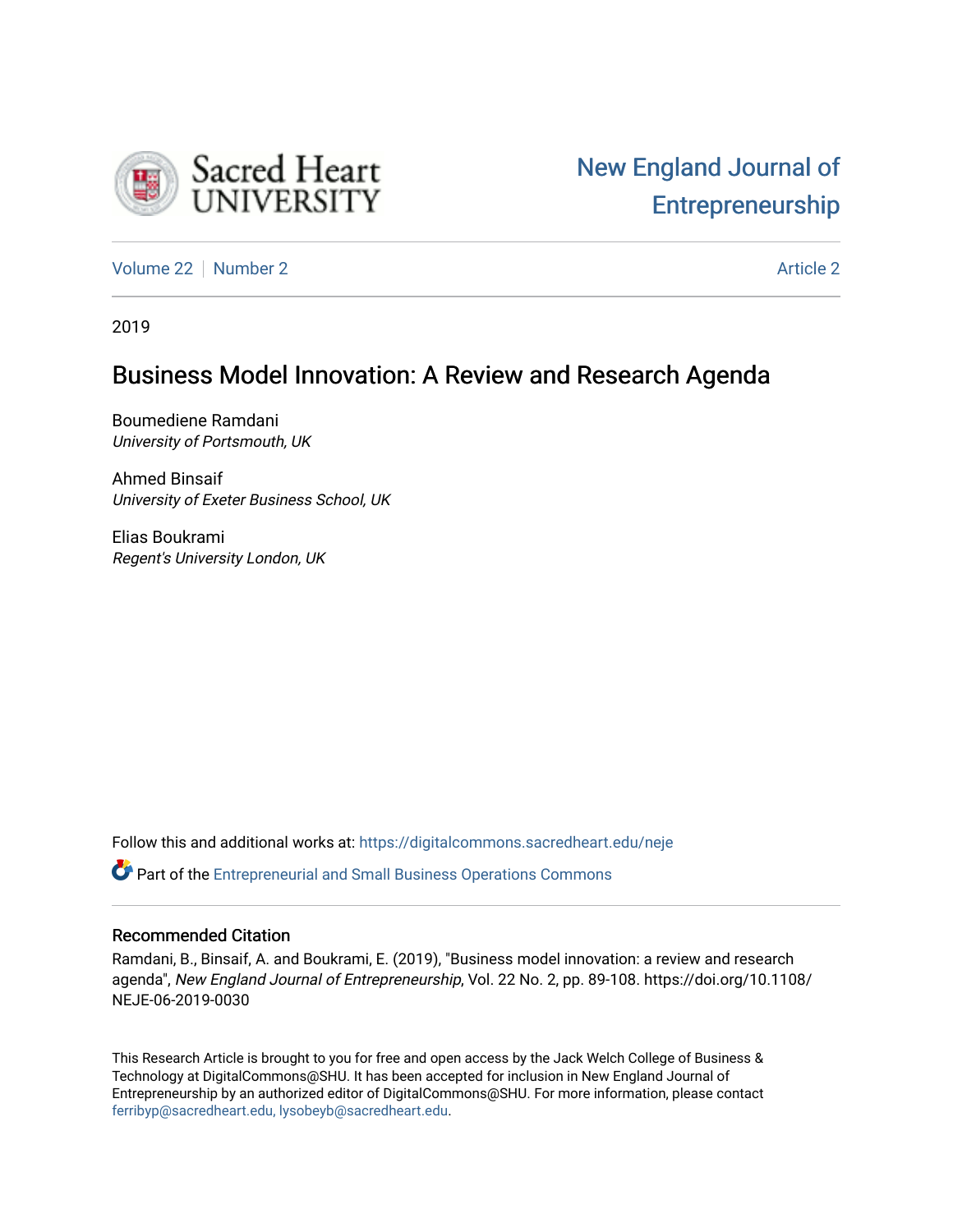

# [New England Journal of](https://digitalcommons.sacredheart.edu/neje)  [Entrepreneurship](https://digitalcommons.sacredheart.edu/neje)

[Volume 22](https://digitalcommons.sacredheart.edu/neje/vol22) [Number 2](https://digitalcommons.sacredheart.edu/neje/vol22/iss2) [Article 2](https://digitalcommons.sacredheart.edu/neje/vol22/iss2/2) Article 2 Article 2 Article 2 Article 2 Article 2 Article 2

2019

# Business Model Innovation: A Review and Research Agenda

Boumediene Ramdani University of Portsmouth, UK

Ahmed Binsaif University of Exeter Business School, UK

Elias Boukrami Regent's University London, UK

Follow this and additional works at: [https://digitalcommons.sacredheart.edu/neje](https://digitalcommons.sacredheart.edu/neje?utm_source=digitalcommons.sacredheart.edu%2Fneje%2Fvol22%2Fiss2%2F2&utm_medium=PDF&utm_campaign=PDFCoverPages) 

Part of the [Entrepreneurial and Small Business Operations Commons](http://network.bepress.com/hgg/discipline/630?utm_source=digitalcommons.sacredheart.edu%2Fneje%2Fvol22%2Fiss2%2F2&utm_medium=PDF&utm_campaign=PDFCoverPages) 

# Recommended Citation

Ramdani, B., Binsaif, A. and Boukrami, E. (2019), "Business model innovation: a review and research agenda", New England Journal of Entrepreneurship, Vol. 22 No. 2, pp. 89-108. https://doi.org/10.1108/ NEJE-06-2019-0030

This Research Article is brought to you for free and open access by the Jack Welch College of Business & Technology at DigitalCommons@SHU. It has been accepted for inclusion in New England Journal of Entrepreneurship by an authorized editor of DigitalCommons@SHU. For more information, please contact [ferribyp@sacredheart.edu, lysobeyb@sacredheart.edu.](mailto:ferribyp@sacredheart.edu,%20lysobeyb@sacredheart.edu)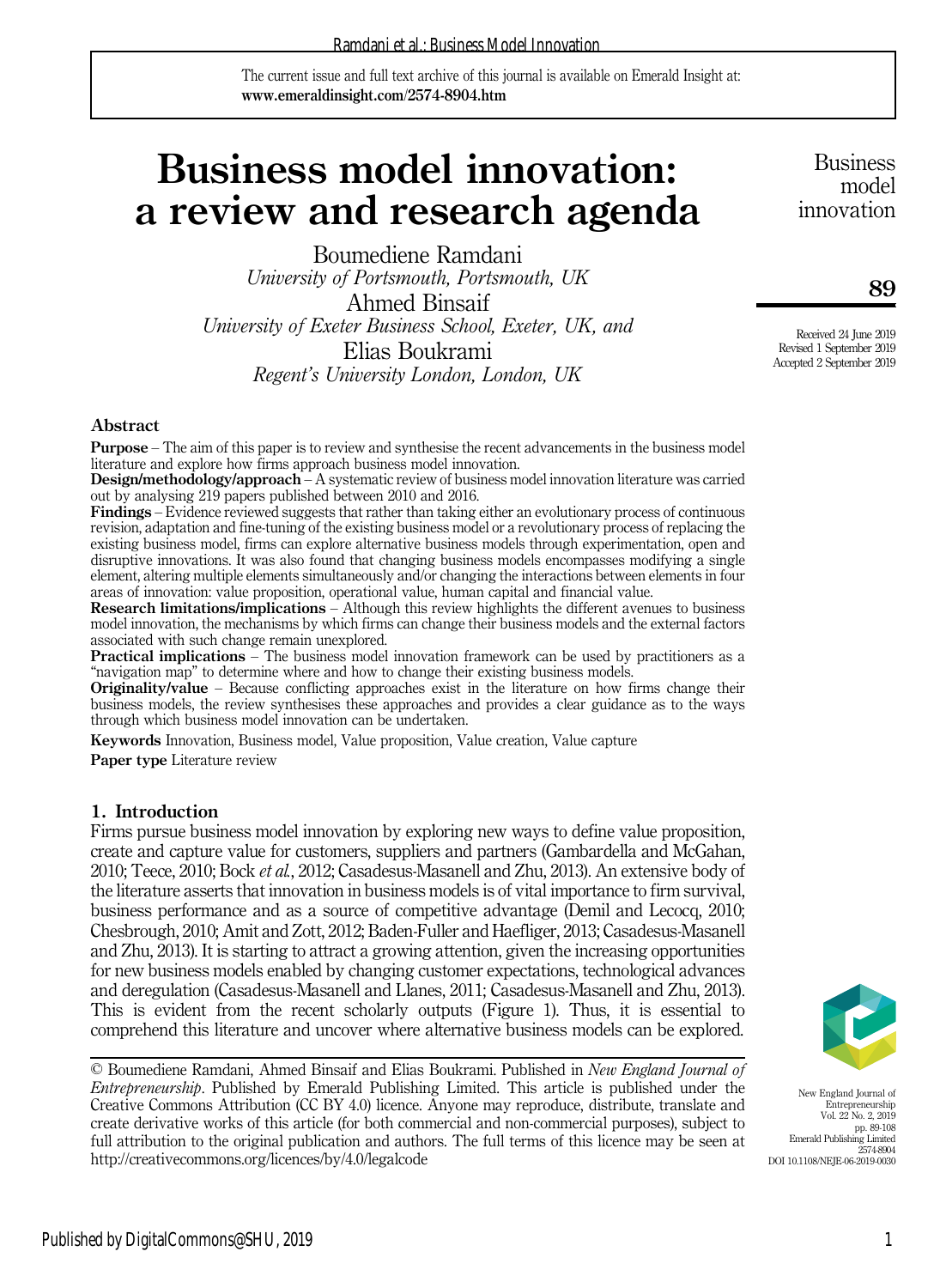The current issue and full text archive of this journal is available on Emerald Insight at: www.emeraldinsight.com/2574-8904.htm

# Business model innovation: a review and research agenda

Boumediene Ramdani University of Portsmouth, Portsmouth, UK Ahmed Binsaif University of Exeter Business School, Exeter, UK, and Elias Boukrami Regent's University London, London, UK

Received 24 June 2019 Revised 1 September 2019 89

**Business** model innovation

Accepted 2 September 2019

Abstract

Purpose – The aim of this paper is to review and synthesise the recent advancements in the business model literature and explore how firms approach business model innovation.

Design/methodology/approach – A systematic review of business model innovation literature was carried out by analysing 219 papers published between 2010 and 2016.

Findings – Evidence reviewed suggests that rather than taking either an evolutionary process of continuous revision, adaptation and fine-tuning of the existing business model or a revolutionary process of replacing the existing business model, firms can explore alternative business models through experimentation, open and disruptive innovations. It was also found that changing business models encompasses modifying a single element, altering multiple elements simultaneously and/or changing the interactions between elements in four areas of innovation: value proposition, operational value, human capital and financial value.

**Research limitations/implications – Although this review highlights the different avenues to business** model innovation, the mechanisms by which firms can change their business models and the external factors associated with such change remain unexplored.

**Practical implications** – The business model innovation framework can be used by practitioners as a "navigation map" to determine where and how to change their existing business models.

Originality/value – Because conflicting approaches exist in the literature on how firms change their business models, the review synthesises these approaches and provides a clear guidance as to the ways through which business model innovation can be undertaken.

Keywords Innovation, Business model, Value proposition, Value creation, Value capture Paper type Literature review

### 1. Introduction

Firms pursue business model innovation by exploring new ways to define value proposition, create and capture value for customers, suppliers and partners (Gambardella and McGahan, 2010; Teece, 2010; Bock et al., 2012; Casadesus-Masanell and Zhu, 2013). An extensive body of the literature asserts that innovation in business models is of vital importance to firm survival, business performance and as a source of competitive advantage (Demil and Lecocq, 2010; Chesbrough, 2010; Amit and Zott, 2012; Baden-Fuller and Haefliger, 2013; Casadesus-Masanell and Zhu, 2013). It is starting to attract a growing attention, given the increasing opportunities for new business models enabled by changing customer expectations, technological advances and deregulation (Casadesus-Masanell and Llanes, 2011; Casadesus-Masanell and Zhu, 2013). This is evident from the recent scholarly outputs (Figure 1). Thus, it is essential to comprehend this literature and uncover where alternative business models can be explored.

© Boumediene Ramdani, Ahmed Binsaif and Elias Boukrami. Published in New England Journal of Entrepreneurship. Published by Emerald Publishing Limited. This article is published under the Creative Commons Attribution (CC BY 4.0) licence. Anyone may reproduce, distribute, translate and create derivative works of this article (for both commercial and non-commercial purposes), subject to full attribution to the original publication and authors. The full terms of this licence may be seen at <http://creativecommons.org/licences/by/4.0/legalcode>



New England Journal of Entrepreneurship Vol. 22 No. 2, 2019 pp. 89-108 Emerald Publishing Limited 2574-8904 DOI 10.1108/NEJE-06-2019-0030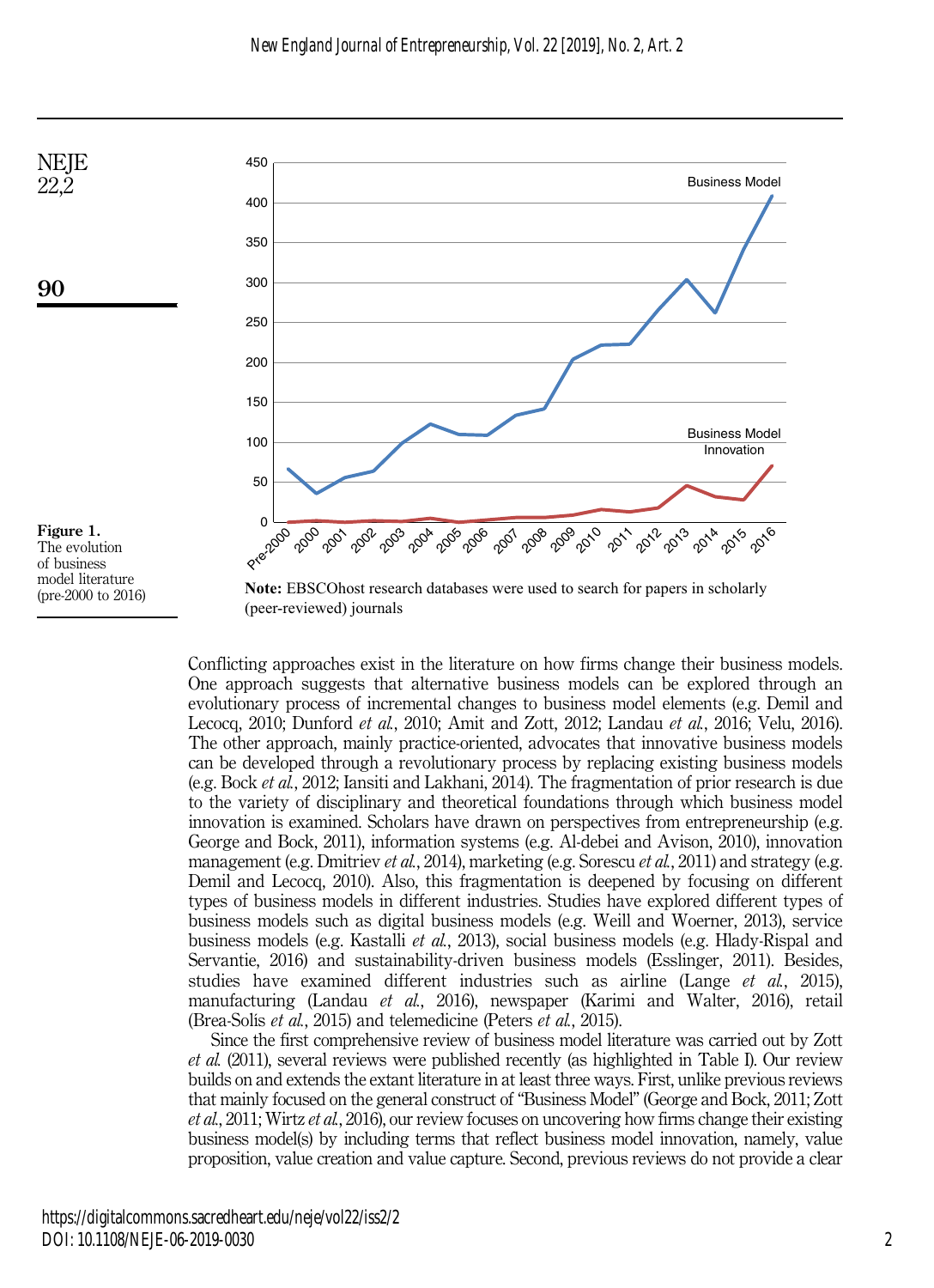

Conflicting approaches exist in the literature on how firms change their business models. One approach suggests that alternative business models can be explored through an evolutionary process of incremental changes to business model elements (e.g. Demil and Lecocq, 2010; Dunford et al., 2010; Amit and Zott, 2012; Landau et al., 2016; Velu, 2016). The other approach, mainly practice-oriented, advocates that innovative business models can be developed through a revolutionary process by replacing existing business models (e.g. Bock et al., 2012; Iansiti and Lakhani, 2014). The fragmentation of prior research is due to the variety of disciplinary and theoretical foundations through which business model innovation is examined. Scholars have drawn on perspectives from entrepreneurship (e.g. George and Bock, 2011), information systems (e.g. Al-debei and Avison, 2010), innovation management (e.g. Dmitriev *et al.*, 2014), marketing (e.g. Sorescu *et al.*, 2011) and strategy (e.g. Demil and Lecocq, 2010). Also, this fragmentation is deepened by focusing on different types of business models in different industries. Studies have explored different types of business models such as digital business models (e.g. Weill and Woerner, 2013), service business models (e.g. Kastalli et al., 2013), social business models (e.g. Hlady-Rispal and Servantie, 2016) and sustainability-driven business models (Esslinger, 2011). Besides, studies have examined different industries such as airline (Lange *et al.*, 2015), manufacturing (Landau et al., 2016), newspaper (Karimi and Walter, 2016), retail (Brea-Solís et al., 2015) and telemedicine (Peters et al., 2015).

Since the first comprehensive review of business model literature was carried out by Zott et al. (2011), several reviews were published recently (as highlighted in Table I). Our review builds on and extends the extant literature in at least three ways. First, unlike previous reviews that mainly focused on the general construct of "Business Model" (George and Bock, 2011; Zott et al., 2011; Wirtz et al., 2016), our review focuses on uncovering how firms change their existing business model(s) by including terms that reflect business model innovation, namely, value proposition, value creation and value capture. Second, previous reviews do not provide a clear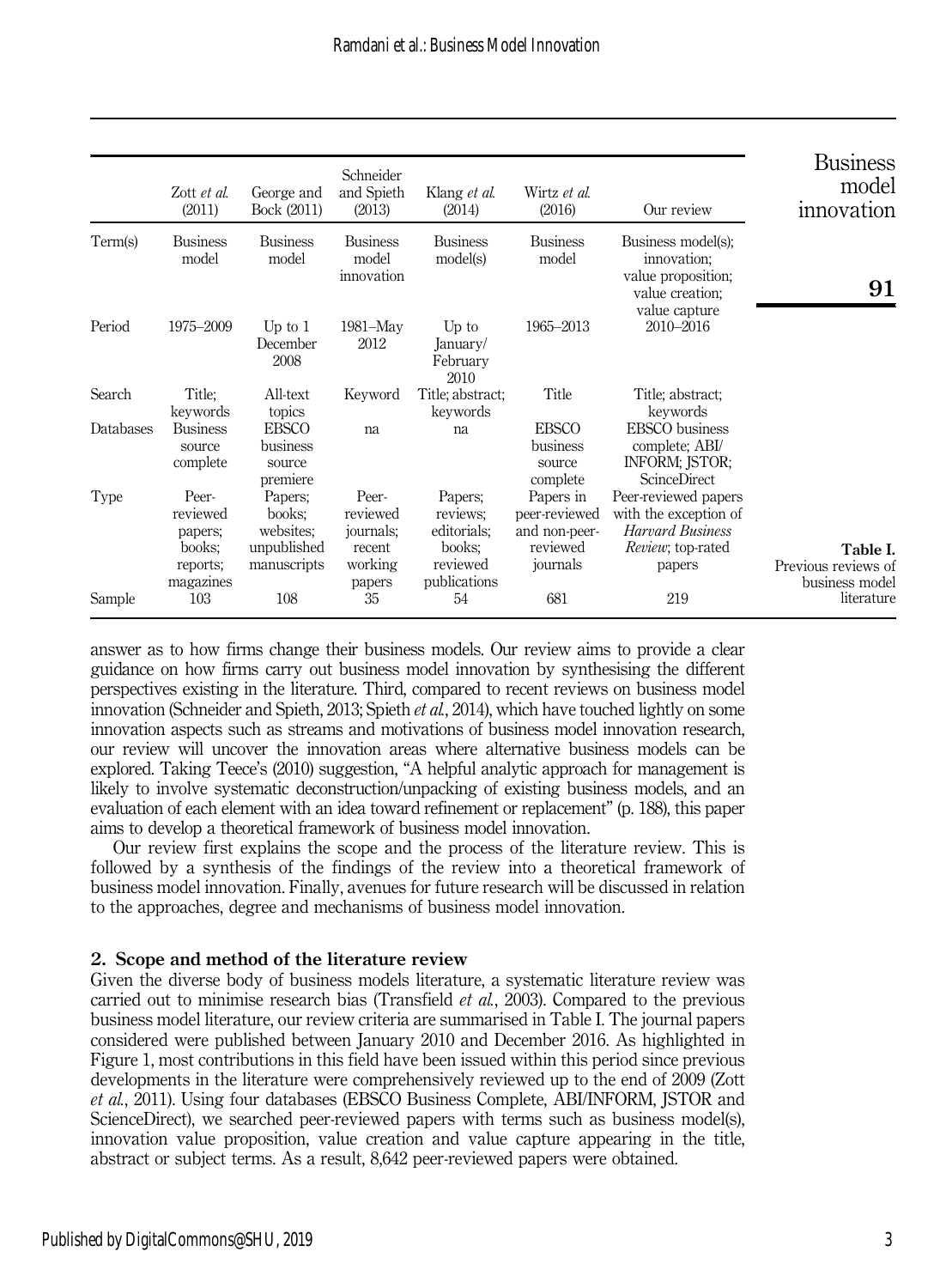|             | Zott et al.<br>(2011)                                           | George and<br>Bock (2011)                                    | Schneider<br>and Spieth<br>(2013)                             | Klang et al.<br>(2014)                                                   | Wirtz et al.<br>(2016)                                              | Our review                                                                                              | <b>Business</b><br>model<br>innovation            |
|-------------|-----------------------------------------------------------------|--------------------------------------------------------------|---------------------------------------------------------------|--------------------------------------------------------------------------|---------------------------------------------------------------------|---------------------------------------------------------------------------------------------------------|---------------------------------------------------|
| Term(s)     | <b>Business</b><br>model                                        | <b>Business</b><br>model                                     | <b>Business</b><br>model<br>innovation                        | <b>Business</b><br>model(s)                                              | <b>Business</b><br>model                                            | Business model(s);<br>innovation;<br>value proposition;<br>value creation;<br>value capture             | 91                                                |
| Period      | 1975-2009                                                       | Up to $1$<br>December<br>2008                                | $1981 -$ May<br>2012                                          | Up to<br>January/<br>February<br>2010                                    | 1965-2013                                                           | 2010-2016                                                                                               |                                                   |
| Search      | Title:<br>keywords                                              | All-text<br>topics                                           | Keyword                                                       | Title; abstract;<br>keywords                                             | Title                                                               | Title; abstract;<br>keywords                                                                            |                                                   |
| Databases   | <b>Business</b><br>source<br>complete                           | <b>EBSCO</b><br>business<br>source<br>premiere               | na                                                            | na                                                                       | <b>EBSCO</b><br>business<br>source<br>complete                      | <b>EBSCO</b> business<br>complete; ABI/<br><b>INFORM: ISTOR:</b><br><b>ScinceDirect</b>                 |                                                   |
| <b>Type</b> | Peer-<br>reviewed<br>papers;<br>books:<br>reports;<br>magazines | Papers;<br>books;<br>websites:<br>unpublished<br>manuscripts | Peer-<br>reviewed<br>journals;<br>recent<br>working<br>papers | Papers;<br>reviews;<br>editorials;<br>books:<br>reviewed<br>publications | Papers in<br>peer-reviewed<br>and non-peer-<br>reviewed<br>journals | Peer-reviewed papers<br>with the exception of<br><b>Harvard Business</b><br>Review; top-rated<br>papers | Table I.<br>Previous reviews of<br>business model |
| Sample      | 103                                                             | 108                                                          | 35                                                            | 54                                                                       | 681                                                                 | 219                                                                                                     | literature                                        |

answer as to how firms change their business models. Our review aims to provide a clear guidance on how firms carry out business model innovation by synthesising the different perspectives existing in the literature. Third, compared to recent reviews on business model innovation (Schneider and Spieth, 2013; Spieth et al., 2014), which have touched lightly on some innovation aspects such as streams and motivations of business model innovation research, our review will uncover the innovation areas where alternative business models can be explored. Taking Teece's (2010) suggestion, "A helpful analytic approach for management is likely to involve systematic deconstruction/unpacking of existing business models, and an evaluation of each element with an idea toward refinement or replacement" (p. 188), this paper aims to develop a theoretical framework of business model innovation.

Our review first explains the scope and the process of the literature review. This is followed by a synthesis of the findings of the review into a theoretical framework of business model innovation. Finally, avenues for future research will be discussed in relation to the approaches, degree and mechanisms of business model innovation.

#### 2. Scope and method of the literature review

Given the diverse body of business models literature, a systematic literature review was carried out to minimise research bias (Transfield  $et$  al., 2003). Compared to the previous business model literature, our review criteria are summarised in Table I. The journal papers considered were published between January 2010 and December 2016. As highlighted in Figure 1, most contributions in this field have been issued within this period since previous developments in the literature were comprehensively reviewed up to the end of 2009 (Zott et al., 2011). Using four databases (EBSCO Business Complete, ABI/INFORM, JSTOR and ScienceDirect), we searched peer-reviewed papers with terms such as business model(s), innovation value proposition, value creation and value capture appearing in the title, abstract or subject terms. As a result, 8,642 peer-reviewed papers were obtained.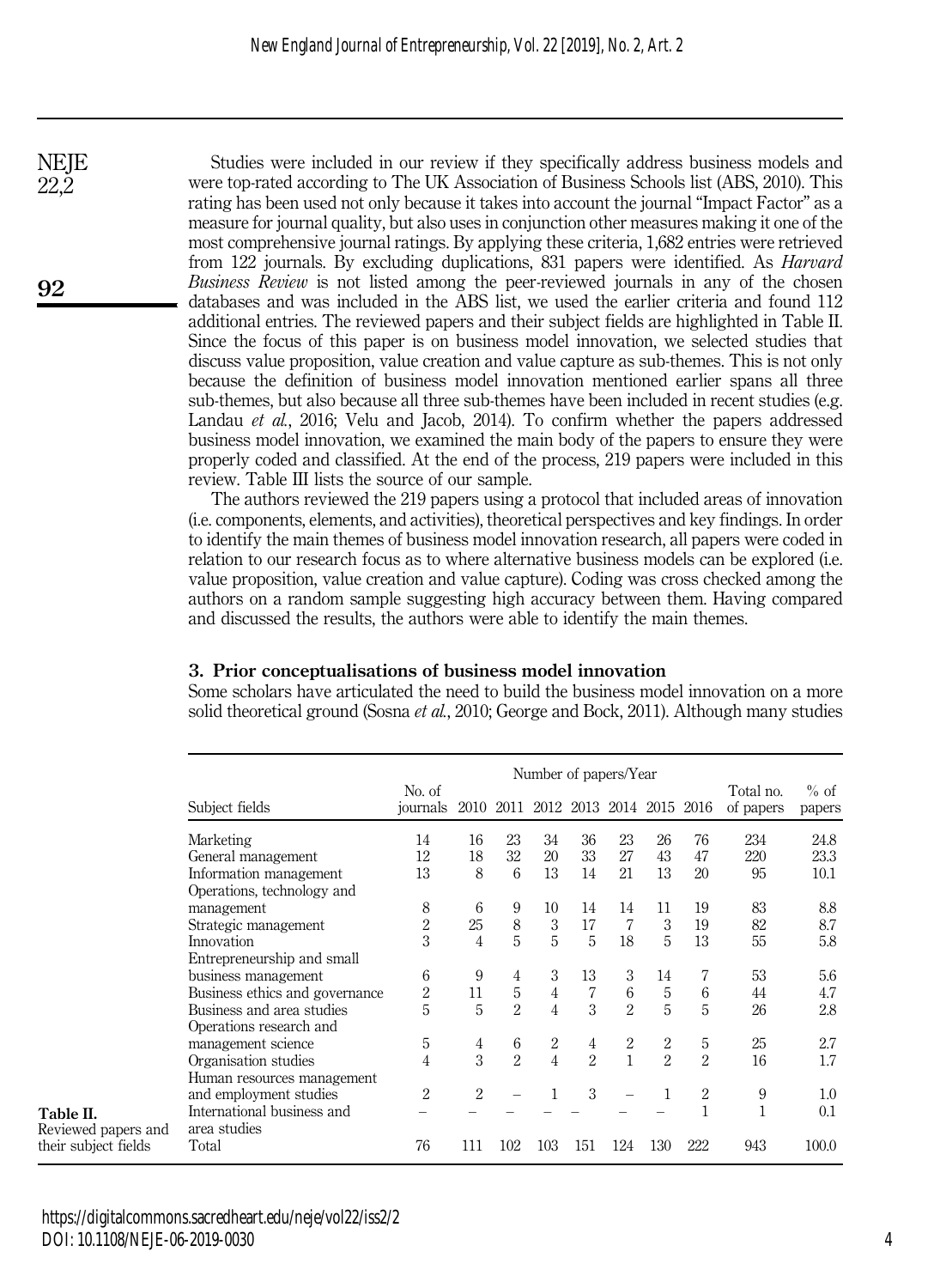Studies were included in our review if they specifically address business models and were top-rated according to The UK Association of Business Schools list (ABS, 2010). This rating has been used not only because it takes into account the journal "Impact Factor" as a measure for journal quality, but also uses in conjunction other measures making it one of the most comprehensive journal ratings. By applying these criteria, 1,682 entries were retrieved from 122 journals. By excluding duplications, 831 papers were identified. As Harvard Business Review is not listed among the peer-reviewed journals in any of the chosen databases and was included in the ABS list, we used the earlier criteria and found 112 additional entries. The reviewed papers and their subject fields are highlighted in Table II. Since the focus of this paper is on business model innovation, we selected studies that discuss value proposition, value creation and value capture as sub-themes. This is not only because the definition of business model innovation mentioned earlier spans all three sub-themes, but also because all three sub-themes have been included in recent studies (e.g. Landau et al., 2016; Velu and Jacob, 2014). To confirm whether the papers addressed business model innovation, we examined the main body of the papers to ensure they were properly coded and classified. At the end of the process, 219 papers were included in this review. Table III lists the source of our sample.

The authors reviewed the 219 papers using a protocol that included areas of innovation (i.e. components, elements, and activities), theoretical perspectives and key findings. In order to identify the main themes of business model innovation research, all papers were coded in relation to our research focus as to where alternative business models can be explored (i.e. value proposition, value creation and value capture). Coding was cross checked among the authors on a random sample suggesting high accuracy between them. Having compared and discussed the results, the authors were able to identify the main themes.

# 3. Prior conceptualisations of business model innovation

Some scholars have articulated the need to build the business model innovation on a more solid theoretical ground (Sosna *et al.*, 2010; George and Bock, 2011). Although many studies

|                                                      | Number of papers/Year |                |                   |                |                |                          |                   |                |                        |                  |
|------------------------------------------------------|-----------------------|----------------|-------------------|----------------|----------------|--------------------------|-------------------|----------------|------------------------|------------------|
| Subject fields                                       | No. of<br>journals    | 2010           |                   |                |                | 2011 2012 2013 2014 2015 |                   | 2016           | Total no.<br>of papers | $%$ of<br>papers |
| Marketing                                            | 14                    | 16             | 23                | 34             | 36             | 23                       | 26                | 76             | 234                    | 24.8             |
| General management                                   | 12                    | 18             | 32                | 20             | 33             | 27                       | 43                | 47             | 220                    | 23.3             |
| Information management                               | 13                    | 8              | 6                 | 13             | 14             | 21                       | 13                | 20             | 95                     | 10.1             |
| Operations, technology and<br>management             | 8                     | 6              | 9                 | 10             | 14             | 14                       | 11                | 19             | 83                     | 8.8              |
| Strategic management                                 | $\overline{2}$        | 25             | 8                 | 3              | 17             | 7                        | 3                 | 19             | 82                     | 8.7              |
| Innovation                                           | 3                     | $\overline{4}$ | 5                 | 5              | 5              | 18                       | 5                 | 13             | 55                     | 5.8              |
| Entrepreneurship and small                           |                       |                |                   |                |                |                          |                   |                |                        |                  |
| business management                                  | 6                     | 9              | 4                 | 3              | 13             | 3                        | 14                | 7              | 53                     | 5.6              |
| Business ethics and governance                       | $\overline{2}$        | 11             | 5                 | $\overline{4}$ | 7              | 6                        | 5                 | 6              | 44                     | 4.7              |
| Business and area studies<br>Operations research and | 5                     | 5              | $\mathcal{D}_{1}$ | $\overline{4}$ | 3              | $\mathcal{D}_{1}$        | 5                 | 5              | 26                     | 2.8              |
| management science                                   | 5                     | 4              | 6                 | 2              | 4              | $\overline{2}$           | 2                 | 5              | 25                     | 2.7              |
| Organisation studies                                 | 4                     | 3              | $\overline{2}$    | $\overline{4}$ | $\mathfrak{D}$ | $\mathbf{1}$             | $\mathcal{D}_{1}$ | $\overline{2}$ | 16                     | 1.7              |
| Human resources management                           |                       |                |                   |                |                |                          |                   |                |                        |                  |
| and employment studies                               | $\overline{2}$        | $\overline{2}$ |                   | 1              | 3              |                          | 1                 | 2              | 9                      | 1.0              |
| International business and                           |                       |                |                   |                |                |                          |                   | 1              | 1                      | 0.1              |
| area studies<br>Total                                | 76                    | 111            | 102               | 103            | 151            | 124                      | 130               | 222            | 943                    | 100.0            |

Table II. Reviewed papers an

92

**NEJE** 22,2

their subject fields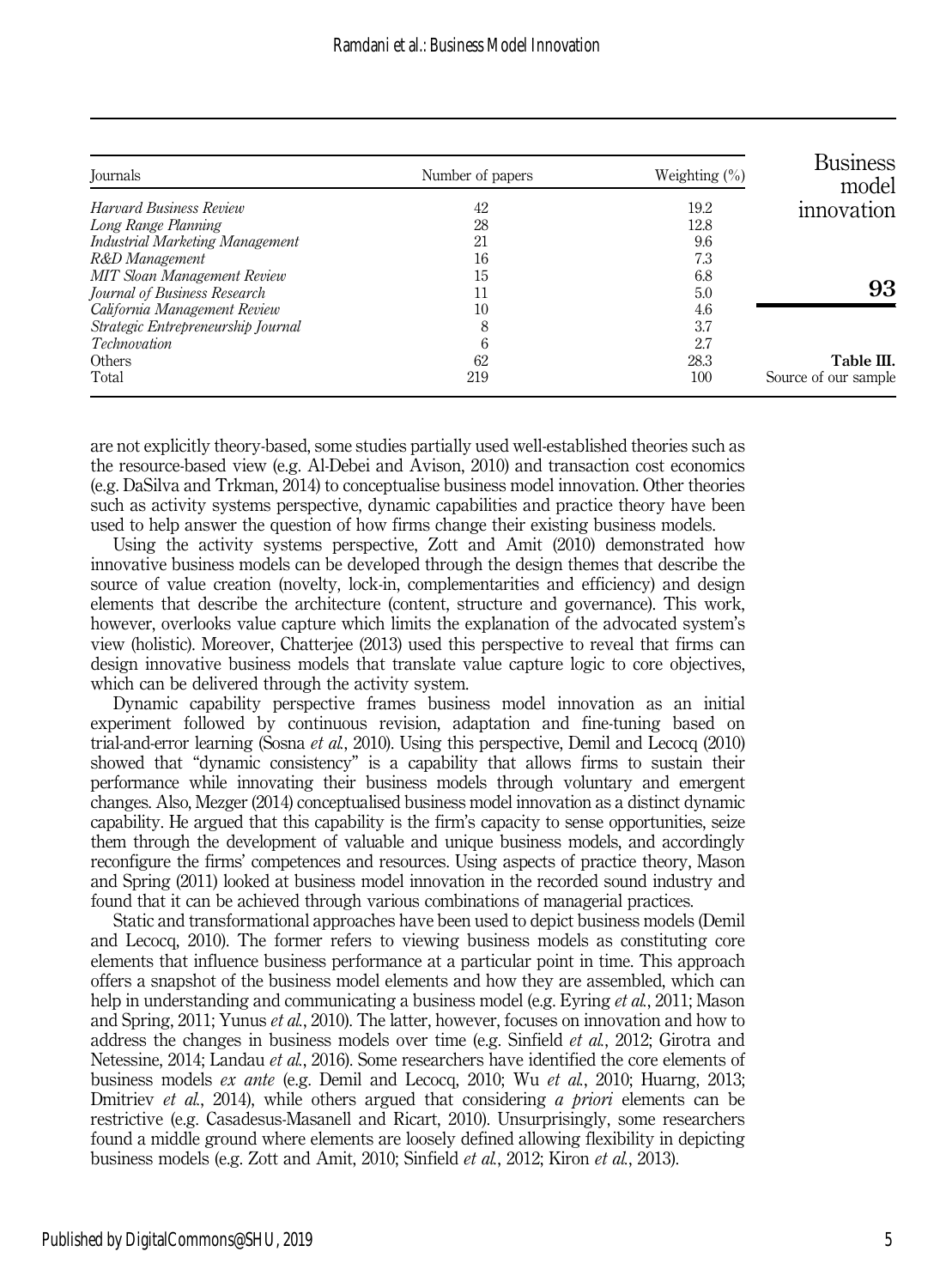| Journals                           | Number of papers | Weighting $(\% )$ | <b>Business</b><br>model |
|------------------------------------|------------------|-------------------|--------------------------|
| Harvard Business Review            | 42               | 19.2              | innovation               |
| Long Range Planning                | 28               | 12.8              |                          |
| Industrial Marketing Management    | 21               | 9.6               |                          |
| R&D Management                     | 16               | 7.3               |                          |
| <b>MIT Sloan Management Review</b> | 15               | 6.8               |                          |
| Journal of Business Research       | 11               | 5.0               | 93                       |
| California Management Review       | 10               | 4.6               |                          |
| Strategic Entrepreneurship Journal | 8                | 3.7               |                          |
| <i>Technovation</i>                | 6                | 2.7               |                          |
| Others                             | 62               | 28.3              | Table III.               |
| Total                              | 219              | 100               | Source of our sample     |

are not explicitly theory-based, some studies partially used well-established theories such as the resource-based view (e.g. Al-Debei and Avison, 2010) and transaction cost economics (e.g. DaSilva and Trkman, 2014) to conceptualise business model innovation. Other theories such as activity systems perspective, dynamic capabilities and practice theory have been used to help answer the question of how firms change their existing business models.

Using the activity systems perspective, Zott and Amit (2010) demonstrated how innovative business models can be developed through the design themes that describe the source of value creation (novelty, lock-in, complementarities and efficiency) and design elements that describe the architecture (content, structure and governance). This work, however, overlooks value capture which limits the explanation of the advocated system's view (holistic). Moreover, Chatterjee (2013) used this perspective to reveal that firms can design innovative business models that translate value capture logic to core objectives, which can be delivered through the activity system.

Dynamic capability perspective frames business model innovation as an initial experiment followed by continuous revision, adaptation and fine-tuning based on trial-and-error learning (Sosna *et al.*, 2010). Using this perspective, Demil and Lecocq (2010) showed that "dynamic consistency" is a capability that allows firms to sustain their performance while innovating their business models through voluntary and emergent changes. Also, Mezger (2014) conceptualised business model innovation as a distinct dynamic capability. He argued that this capability is the firm's capacity to sense opportunities, seize them through the development of valuable and unique business models, and accordingly reconfigure the firms' competences and resources. Using aspects of practice theory, Mason and Spring (2011) looked at business model innovation in the recorded sound industry and found that it can be achieved through various combinations of managerial practices.

Static and transformational approaches have been used to depict business models (Demil and Lecocq, 2010). The former refers to viewing business models as constituting core elements that influence business performance at a particular point in time. This approach offers a snapshot of the business model elements and how they are assembled, which can help in understanding and communicating a business model (e.g. Eyring et al., 2011; Mason and Spring, 2011; Yunus *et al.*, 2010). The latter, however, focuses on innovation and how to address the changes in business models over time (e.g. Sinfield *et al.*, 2012; Girotra and Netessine, 2014; Landau *et al.*, 2016). Some researchers have identified the core elements of business models ex ante (e.g. Demil and Lecocq, 2010; Wu et al., 2010; Huarng, 2013; Dmitriev *et al.*, 2014), while others argued that considering *a priori* elements can be restrictive (e.g. Casadesus-Masanell and Ricart, 2010). Unsurprisingly, some researchers found a middle ground where elements are loosely defined allowing flexibility in depicting business models (e.g. Zott and Amit, 2010; Sinfield et al., 2012; Kiron et al., 2013).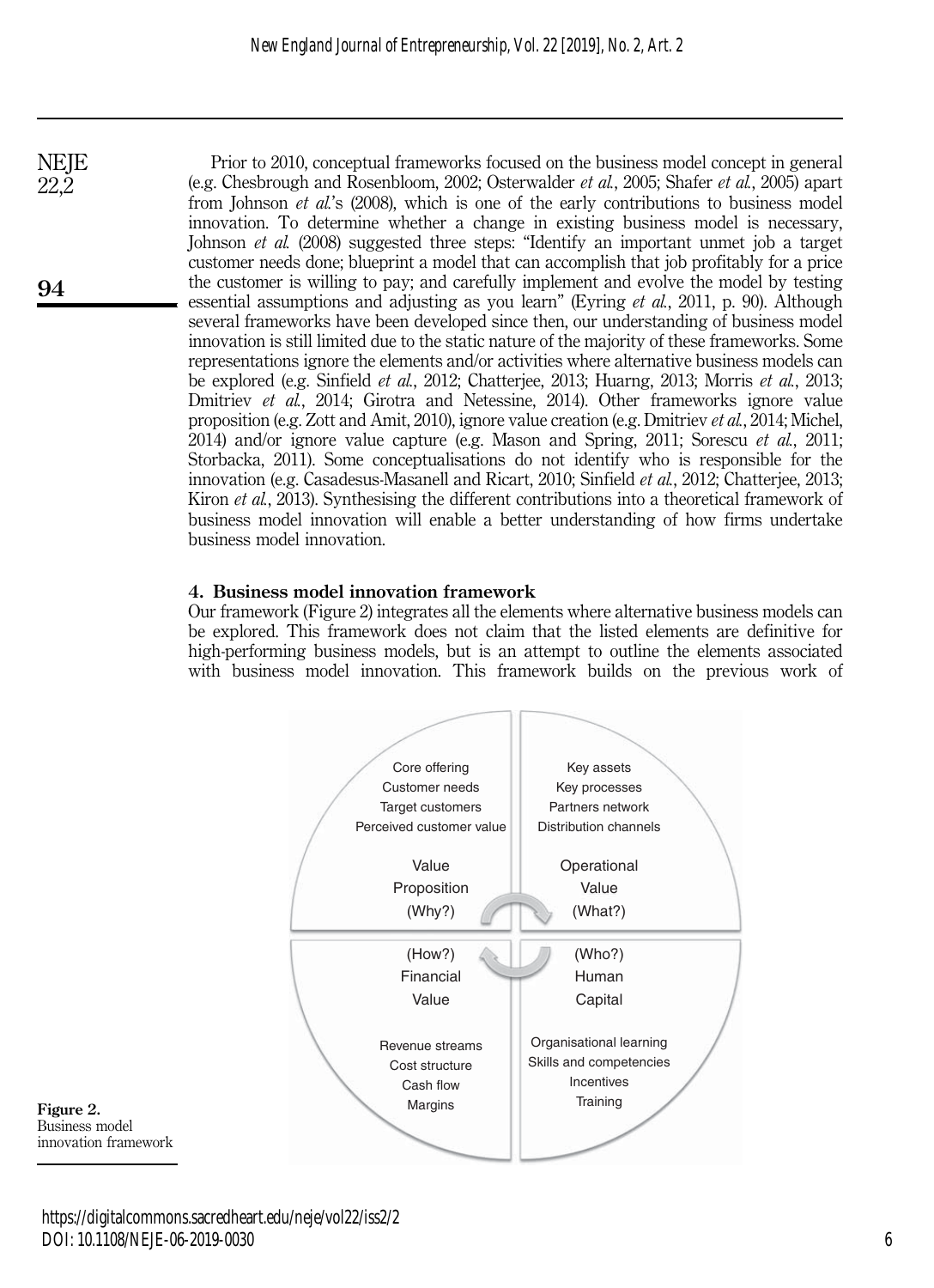Prior to 2010, conceptual frameworks focused on the business model concept in general (e.g. Chesbrough and Rosenbloom, 2002; Osterwalder et al., 2005; Shafer et al., 2005) apart from Johnson et al.'s (2008), which is one of the early contributions to business model innovation. To determine whether a change in existing business model is necessary, Johnson *et al.* (2008) suggested three steps: "Identify an important unmet job a target customer needs done; blueprint a model that can accomplish that job profitably for a price the customer is willing to pay; and carefully implement and evolve the model by testing essential assumptions and adjusting as you learn" (Eyring *et al.*, 2011, p. 90). Although several frameworks have been developed since then, our understanding of business model innovation is still limited due to the static nature of the majority of these frameworks. Some representations ignore the elements and/or activities where alternative business models can be explored (e.g. Sinfield et al., 2012; Chatterjee, 2013; Huarng, 2013; Morris et al., 2013; Dmitriev et al., 2014; Girotra and Netessine, 2014). Other frameworks ignore value proposition (e.g. Zott and Amit, 2010), ignore value creation (e.g. Dmitriev et al., 2014; Michel, 2014) and/or ignore value capture (e.g. Mason and Spring, 2011; Sorescu et al., 2011; Storbacka, 2011). Some conceptualisations do not identify who is responsible for the innovation (e.g. Casadesus-Masanell and Ricart, 2010; Sinfield et al., 2012; Chatterjee, 2013; Kiron *et al.*, 2013). Synthesising the different contributions into a theoretical framework of business model innovation will enable a better understanding of how firms undertake business model innovation.

# 4. Business model innovation framework

Our framework (Figure 2) integrates all the elements where alternative business models can be explored. This framework does not claim that the listed elements are definitive for high-performing business models, but is an attempt to outline the elements associated with business model innovation. This framework builds on the previous work of



Business model innovation framework

94

**NEJE** 22,2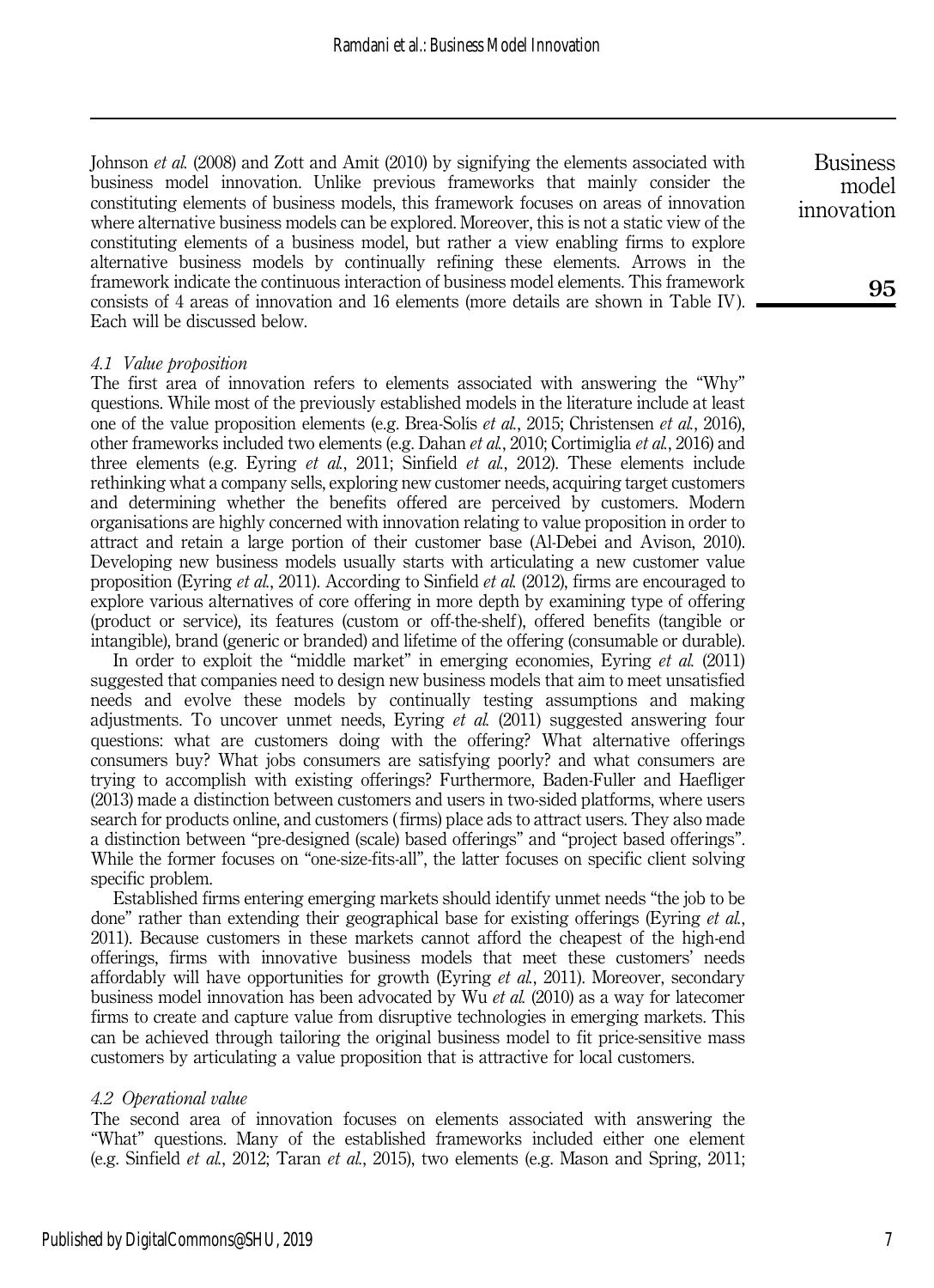Johnson et al. (2008) and Zott and Amit (2010) by signifying the elements associated with business model innovation. Unlike previous frameworks that mainly consider the constituting elements of business models, this framework focuses on areas of innovation where alternative business models can be explored. Moreover, this is not a static view of the constituting elements of a business model, but rather a view enabling firms to explore alternative business models by continually refining these elements. Arrows in the framework indicate the continuous interaction of business model elements. This framework consists of 4 areas of innovation and 16 elements (more details are shown in Table IV). Each will be discussed below.

#### 4.1 Value proposition

The first area of innovation refers to elements associated with answering the "Why" questions. While most of the previously established models in the literature include at least one of the value proposition elements (e.g. Brea-Solís et al., 2015; Christensen et al., 2016), other frameworks included two elements (e.g. Dahan et al., 2010; Cortimiglia et al., 2016) and three elements (e.g. Eyring et al., 2011; Sinfield et al., 2012). These elements include rethinking what a company sells, exploring new customer needs, acquiring target customers and determining whether the benefits offered are perceived by customers. Modern organisations are highly concerned with innovation relating to value proposition in order to attract and retain a large portion of their customer base (Al-Debei and Avison, 2010). Developing new business models usually starts with articulating a new customer value proposition (Eyring et al., 2011). According to Sinfield et al. (2012), firms are encouraged to explore various alternatives of core offering in more depth by examining type of offering (product or service), its features (custom or off-the-shelf), offered benefits (tangible or intangible), brand (generic or branded) and lifetime of the offering (consumable or durable).

In order to exploit the "middle market" in emerging economies, Eyring et al. (2011) suggested that companies need to design new business models that aim to meet unsatisfied needs and evolve these models by continually testing assumptions and making adjustments. To uncover unmet needs, Eyring  $et$  al. (2011) suggested answering four questions: what are customers doing with the offering? What alternative offerings consumers buy? What jobs consumers are satisfying poorly? and what consumers are trying to accomplish with existing offerings? Furthermore, Baden-Fuller and Haefliger (2013) made a distinction between customers and users in two-sided platforms, where users search for products online, and customers ( firms) place ads to attract users. They also made a distinction between "pre-designed (scale) based offerings" and "project based offerings". While the former focuses on "one-size-fits-all", the latter focuses on specific client solving specific problem.

Established firms entering emerging markets should identify unmet needs "the job to be done" rather than extending their geographical base for existing offerings (Eyring *et al.*, 2011). Because customers in these markets cannot afford the cheapest of the high-end offerings, firms with innovative business models that meet these customers' needs affordably will have opportunities for growth (Eyring et al., 2011). Moreover, secondary business model innovation has been advocated by Wu et al. (2010) as a way for latecomer firms to create and capture value from disruptive technologies in emerging markets. This can be achieved through tailoring the original business model to fit price-sensitive mass customers by articulating a value proposition that is attractive for local customers.

#### 4.2 Operational value

The second area of innovation focuses on elements associated with answering the "What" questions. Many of the established frameworks included either one element (e.g. Sinfield *et al.*, 2012; Taran *et al.*, 2015), two elements (e.g. Mason and Spring, 2011;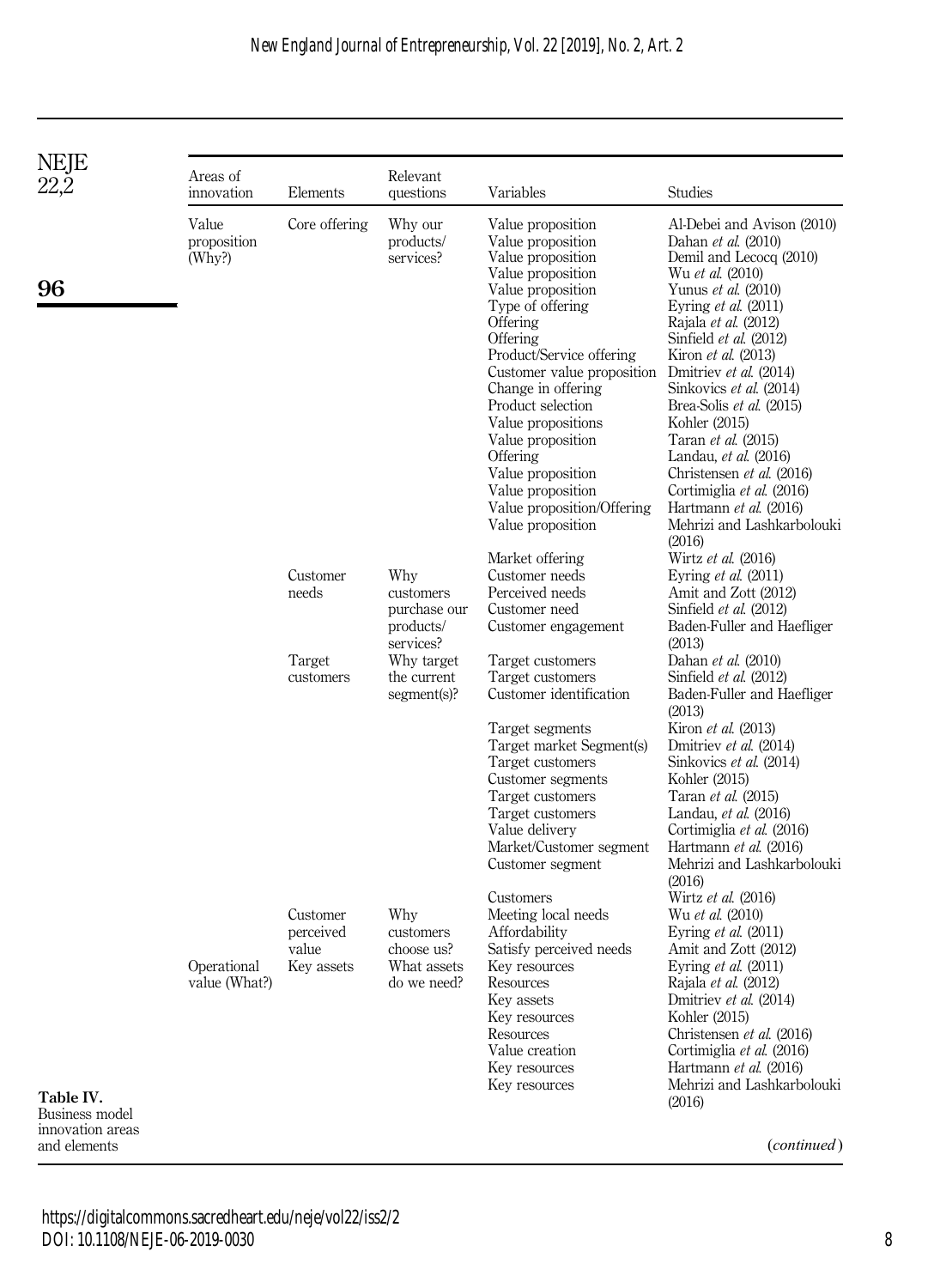| NEJE<br>22,2                                       | Areas of<br>innovation         | Elements                                     | Relevant<br>questions                                        | Variables                                                                                                                                                                                                  | <b>Studies</b>                                                                                                                                                                                                                                                                                                           |
|----------------------------------------------------|--------------------------------|----------------------------------------------|--------------------------------------------------------------|------------------------------------------------------------------------------------------------------------------------------------------------------------------------------------------------------------|--------------------------------------------------------------------------------------------------------------------------------------------------------------------------------------------------------------------------------------------------------------------------------------------------------------------------|
| 96                                                 | Value<br>proposition<br>(Why?) | Core offering                                | Why our<br>products/<br>services?                            | Value proposition<br>Value proposition<br>Value proposition<br>Value proposition<br>Value proposition<br>Type of offering<br>Offering                                                                      | Al-Debei and Avison (2010)<br>Dahan et al. (2010)<br>Demil and Lecocq (2010)<br>Wu <i>et al.</i> (2010)<br>Yunus et al. (2010)<br>Eyring et al. (2011)<br>Rajala et al. (2012)                                                                                                                                           |
|                                                    |                                |                                              |                                                              | Offering<br>Product/Service offering<br>Customer value proposition Dmitriev et al. (2014)<br>Change in offering<br>Product selection<br>Value propositions<br>Value proposition<br>Offering                | Sinfield et al. (2012)<br>Kiron <i>et al.</i> (2013)<br>Sinkovics et al. (2014)<br>Brea-Solis et al. (2015)<br>Kohler (2015)<br>Taran <i>et al.</i> (2015)<br>Landau, et al. (2016)                                                                                                                                      |
|                                                    |                                |                                              |                                                              | Value proposition<br>Value proposition<br>Value proposition/Offering<br>Value proposition                                                                                                                  | Christensen et al. (2016)<br>Cortimiglia et al. (2016)<br>Hartmann et al. (2016)<br>Mehrizi and Lashkarbolouki<br>(2016)                                                                                                                                                                                                 |
|                                                    |                                | Customer<br>needs                            | Why<br>customers<br>purchase our<br>products/<br>services?   | Market offering<br>Customer needs<br>Perceived needs<br>Customer need<br>Customer engagement                                                                                                               | Wirtz et al. (2016)<br>Eyring et al. (2011)<br>Amit and Zott (2012)<br>Sinfield et al. (2012)<br>Baden-Fuller and Haefliger<br>(2013)                                                                                                                                                                                    |
|                                                    |                                | Target<br>customers                          | Why target<br>the current<br>$segment(s)$ ?                  | Target customers<br>Target customers<br>Customer identification                                                                                                                                            | Dahan et al. (2010)<br>Sinfield et al. (2012)<br>Baden-Fuller and Haefliger<br>(2013)                                                                                                                                                                                                                                    |
|                                                    |                                |                                              |                                                              | Target segments<br>Target market Segment(s)<br>Target customers<br>Customer segments<br>Target customers<br>Target customers<br>Value delivery<br>Market/Customer segment<br>Customer segment              | Kiron <i>et al.</i> (2013)<br>Dmitriev et al. (2014)<br>Sinkovics et al. (2014)<br>Kohler (2015)<br>Taran <i>et al.</i> (2015)<br>Landau, et al. (2016)<br>Cortimiglia et al. (2016)<br>Hartmann et al. (2016)<br>Mehrizi and Lashkarbolouki                                                                             |
| Table IV.                                          | Operational<br>value (What?)   | Customer<br>perceived<br>value<br>Key assets | Why<br>customers<br>choose us?<br>What assets<br>do we need? | Customers<br>Meeting local needs<br>Affordability<br>Satisfy perceived needs<br>Key resources<br>Resources<br>Key assets<br>Key resources<br>Resources<br>Value creation<br>Key resources<br>Key resources | (2016)<br>Wirtz et al. (2016)<br>Wu et al. (2010)<br>Eyring et al. (2011)<br>Amit and Zott (2012)<br>Eyring et al. (2011)<br>Rajala et al. (2012)<br>Dmitriev et al. (2014)<br>Kohler (2015)<br>Christensen et al. (2016)<br>Cortimiglia et al. (2016)<br>Hartmann et al. (2016)<br>Mehrizi and Lashkarbolouki<br>(2016) |
| Business model<br>innovation areas<br>and elements |                                |                                              |                                                              |                                                                                                                                                                                                            | (continued)                                                                                                                                                                                                                                                                                                              |

https://digitalcommons.sacredheart.edu/neje/vol22/iss2/2 DOI: 10.1108/NEJE-06-2019-0030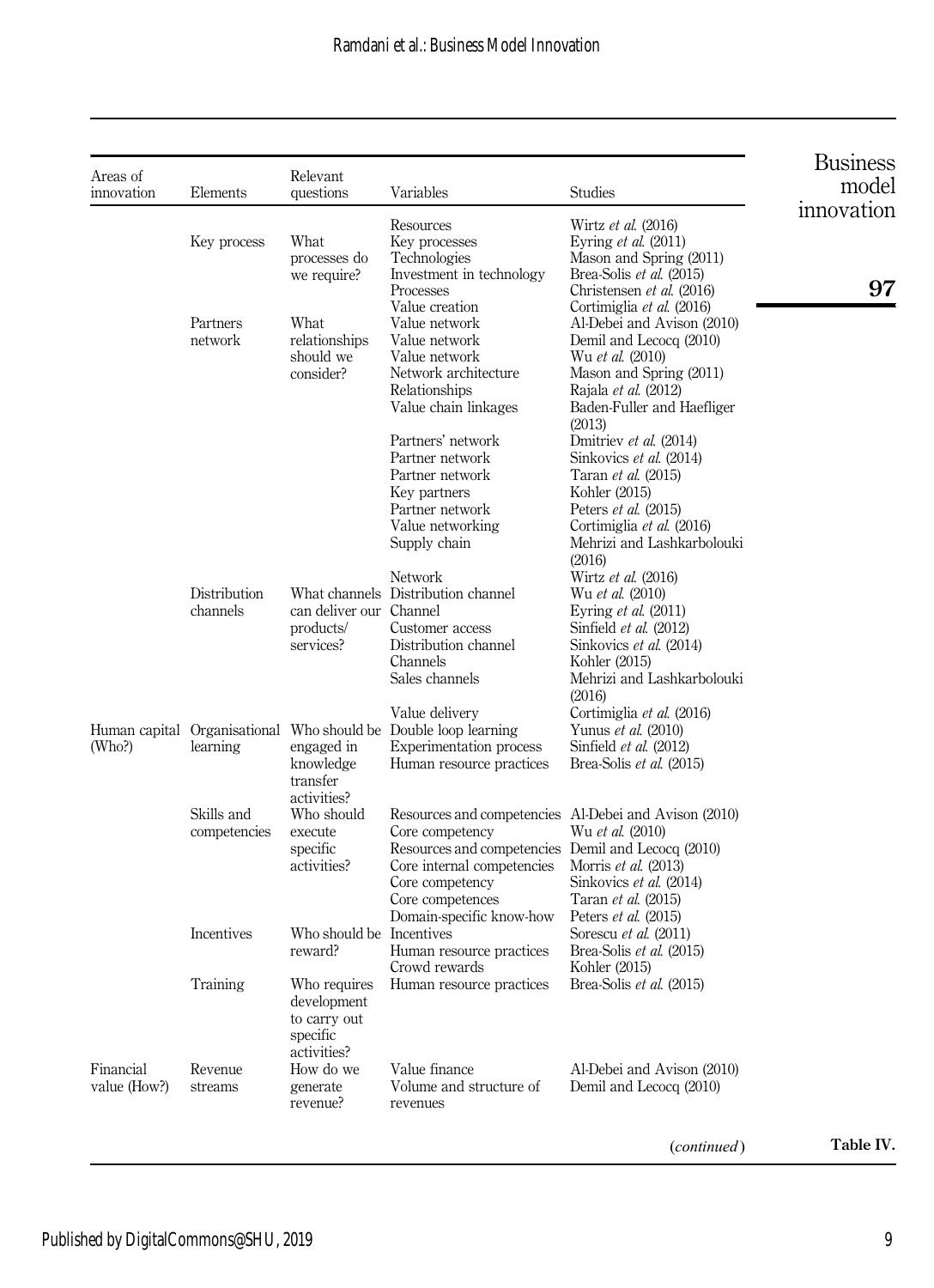| Areas of<br>innovation | Elements     | Relevant<br>questions                   | Variables                                                       | <b>Studies</b>                                        | <b>Business</b><br>model |
|------------------------|--------------|-----------------------------------------|-----------------------------------------------------------------|-------------------------------------------------------|--------------------------|
|                        |              |                                         | Resources                                                       | Wirtz et al. (2016)                                   | innovation               |
|                        | Key process  | What                                    | Key processes                                                   | Eyring et al. (2011)                                  |                          |
|                        |              | processes do                            | <b>Technologies</b>                                             | Mason and Spring (2011)                               |                          |
|                        |              | we require?                             | Investment in technology<br>Processes                           | Brea-Solís et al. (2015)<br>Christensen et al. (2016) | 97                       |
|                        |              |                                         | Value creation                                                  | Cortimiglia et al. (2016)                             |                          |
|                        | Partners     | What                                    | Value network                                                   | Al-Debei and Avison (2010)                            |                          |
|                        | network      | relationships                           | Value network                                                   | Demil and Lecocq (2010)                               |                          |
|                        |              | should we                               | Value network<br>Network architecture                           | Wu et al. (2010)                                      |                          |
|                        |              | consider?                               | Relationships                                                   | Mason and Spring (2011)<br>Rajala et al. (2012)       |                          |
|                        |              |                                         | Value chain linkages                                            | Baden-Fuller and Haefliger                            |                          |
|                        |              |                                         |                                                                 | (2013)                                                |                          |
|                        |              |                                         | Partners' network                                               | Dmitriev et al. (2014)                                |                          |
|                        |              |                                         | Partner network                                                 | Sinkovics et al. (2014)                               |                          |
|                        |              |                                         | Partner network                                                 | Taran <i>et al.</i> (2015)                            |                          |
|                        |              |                                         | Key partners                                                    | Kohler (2015)<br>Peters et al. (2015)                 |                          |
|                        |              |                                         | Partner network<br>Value networking                             | Cortimiglia et al. (2016)                             |                          |
|                        |              |                                         | Supply chain                                                    | Mehrizi and Lashkarbolouki<br>(2016)                  |                          |
|                        |              |                                         | Network                                                         | Wirtz et al. (2016)                                   |                          |
|                        | Distribution |                                         | What channels Distribution channel                              | Wu et al. (2010)                                      |                          |
|                        | channels     | can deliver our Channel                 |                                                                 | Eyring et al. (2011)                                  |                          |
|                        |              | products/<br>services?                  | Customer access<br>Distribution channel                         | Sinfield et al. (2012)<br>Sinkovics et al. (2014)     |                          |
|                        |              |                                         | Channels                                                        | Kohler (2015)                                         |                          |
|                        |              |                                         | Sales channels                                                  | Mehrizi and Lashkarbolouki<br>(2016)                  |                          |
|                        |              |                                         | Value delivery                                                  | Cortimiglia et al. (2016)                             |                          |
|                        |              |                                         | Human capital Organisational Who should be Double loop learning | Yunus et al. (2010)                                   |                          |
| (Who?)                 | learning     | engaged in                              | <b>Experimentation</b> process                                  | Sinfield et al. (2012)                                |                          |
|                        |              | knowledge<br>transfer                   | Human resource practices                                        | Brea-Solís et al. (2015)                              |                          |
|                        |              | activities?                             |                                                                 |                                                       |                          |
|                        | Skills and   | Who should                              |                                                                 | Resources and competencies Al-Debei and Avison (2010) |                          |
|                        | competencies | execute                                 | Core competency                                                 | Wu et al. (2010)                                      |                          |
|                        |              | specific                                | Resources and competencies Demil and Lecocq (2010)              |                                                       |                          |
|                        |              | activities?                             | Core internal competencies                                      | Morris et al. (2013)<br>Sinkovics et al. (2014)       |                          |
|                        |              |                                         | Core competency<br>Core competences                             | Taran et al. (2015)                                   |                          |
|                        |              |                                         | Domain-specific know-how                                        | Peters et al. (2015)                                  |                          |
|                        | Incentives   | Who should be Incentives                |                                                                 | Sorescu et al. (2011)                                 |                          |
|                        |              | reward?                                 | Human resource practices                                        | Brea-Solís et al. (2015)                              |                          |
|                        |              |                                         | Crowd rewards                                                   | Kohler (2015)                                         |                          |
|                        | Training     | development<br>to carry out<br>specific | Who requires Human resource practices Brea-Solis et al. (2015)  |                                                       |                          |
|                        |              | activities?                             |                                                                 |                                                       |                          |
| Financial              | Revenue      | How do we                               | Value finance                                                   | Al-Debei and Avison (2010)                            |                          |
| value (How?)           | streams      | generate<br>revenue?                    | Volume and structure of<br>revenues                             | Demil and Lecocq (2010)                               |                          |
|                        |              |                                         |                                                                 | (continued)                                           | Table IV.                |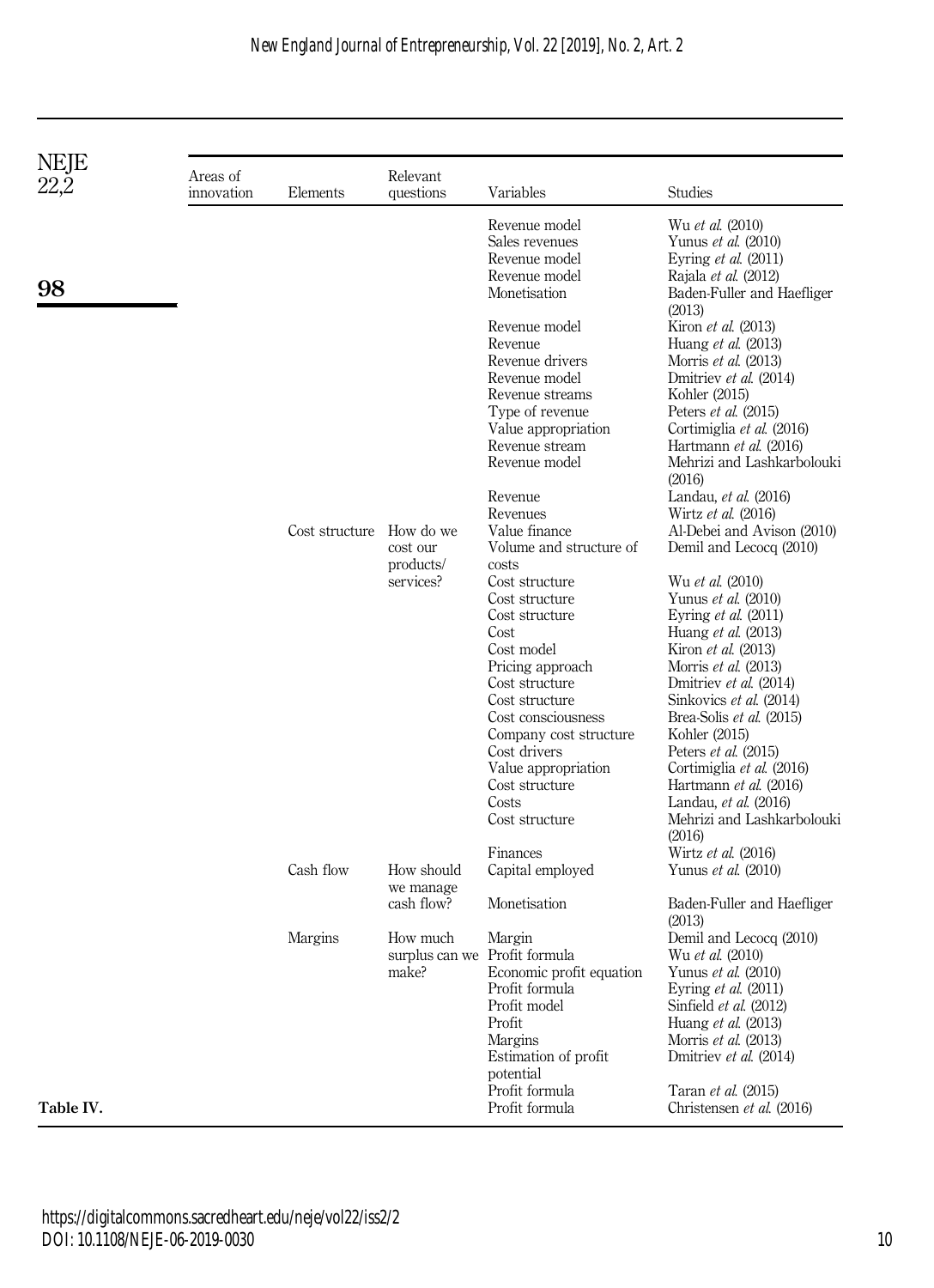| <b>NEJE</b><br>22,2 | Areas of<br>innovation | Elements                 | Relevant<br>questions                                            | Variables                                                                                                                                                                                                                                                            | <b>Studies</b>                                                                                                                                                                                                                                                                                                                                                                                 |
|---------------------|------------------------|--------------------------|------------------------------------------------------------------|----------------------------------------------------------------------------------------------------------------------------------------------------------------------------------------------------------------------------------------------------------------------|------------------------------------------------------------------------------------------------------------------------------------------------------------------------------------------------------------------------------------------------------------------------------------------------------------------------------------------------------------------------------------------------|
| 98                  |                        |                          |                                                                  | Revenue model<br>Sales revenues<br>Revenue model<br>Revenue model<br>Monetisation                                                                                                                                                                                    | Wu et al. (2010)<br>Yunus et al. (2010)<br>Eyring et al. (2011)<br>Rajala et al. (2012)<br>Baden-Fuller and Haefliger                                                                                                                                                                                                                                                                          |
|                     |                        |                          |                                                                  | Revenue model<br>Revenue<br>Revenue drivers<br>Revenue model<br>Revenue streams<br>Type of revenue<br>Value appropriation<br>Revenue stream<br>Revenue model                                                                                                         | (2013)<br>Kiron et al. (2013)<br>Huang et al. (2013)<br>Morris et al. (2013)<br>Dmitriev et al. (2014)<br>Kohler (2015)<br>Peters <i>et al.</i> (2015)<br>Cortimiglia et al. (2016)<br>Hartmann et al. (2016)<br>Mehrizi and Lashkarbolouki<br>(2016)                                                                                                                                          |
| Table IV.           |                        | Cost structure How do we | cost our<br>products/                                            | Revenue<br>Revenues<br>Value finance<br>Volume and structure of<br>costs                                                                                                                                                                                             | Landau, et al. (2016)<br>Wirtz et al. (2016)<br>Al-Debei and Avison (2010)<br>Demil and Lecocq (2010)                                                                                                                                                                                                                                                                                          |
|                     |                        |                          | services?                                                        | Cost structure<br>Cost structure<br>Cost structure<br>Cost<br>Cost model<br>Pricing approach<br>Cost structure<br>Cost structure<br>Cost consciousness<br>Company cost structure<br>Cost drivers<br>Value appropriation<br>Cost structure<br>Costs<br>Cost structure | Wu et al. (2010)<br>Yunus et al. (2010)<br>Eyring et al. (2011)<br>Huang et al. (2013)<br>Kiron <i>et al.</i> (2013)<br>Morris et al. (2013)<br>Dmitriev et al. (2014)<br>Sinkovics et al. (2014)<br>Brea-Solis et al. (2015)<br>Kohler (2015)<br>Peters et al. (2015)<br>Cortimiglia et al. (2016)<br>Hartmann et al. (2016)<br>Landau, et al. (2016)<br>Mehrizi and Lashkarbolouki<br>(2016) |
|                     |                        | Cash flow                | How should<br>we manage                                          | Finances<br>Capital employed<br>Monetisation                                                                                                                                                                                                                         | Wirtz et al. (2016)<br>Yunus <i>et al.</i> (2010)                                                                                                                                                                                                                                                                                                                                              |
|                     |                        | Margins                  | cash flow?<br>How much<br>surplus can we Profit formula<br>make? | Margin<br>Economic profit equation<br>Profit formula<br>Profit model<br>Profit<br>Margins<br>Estimation of profit<br>potential<br>Profit formula<br>Profit formula                                                                                                   | Baden-Fuller and Haefliger<br>(2013)<br>Demil and Lecocq (2010)<br>Wu et al. (2010)<br>Yunus et al. (2010)<br>Eyring et al. (2011)<br>Sinfield et al. (2012)<br>Huang et al. (2013)<br>Morris et al. (2013)<br>Dmitriev et al. (2014)<br>Taran <i>et al.</i> (2015)<br>Christensen et al. (2016)                                                                                               |

https://digitalcommons.sacredheart.edu/neje/vol22/iss2/2 DOI: 10.1108/NEJE-06-2019-0030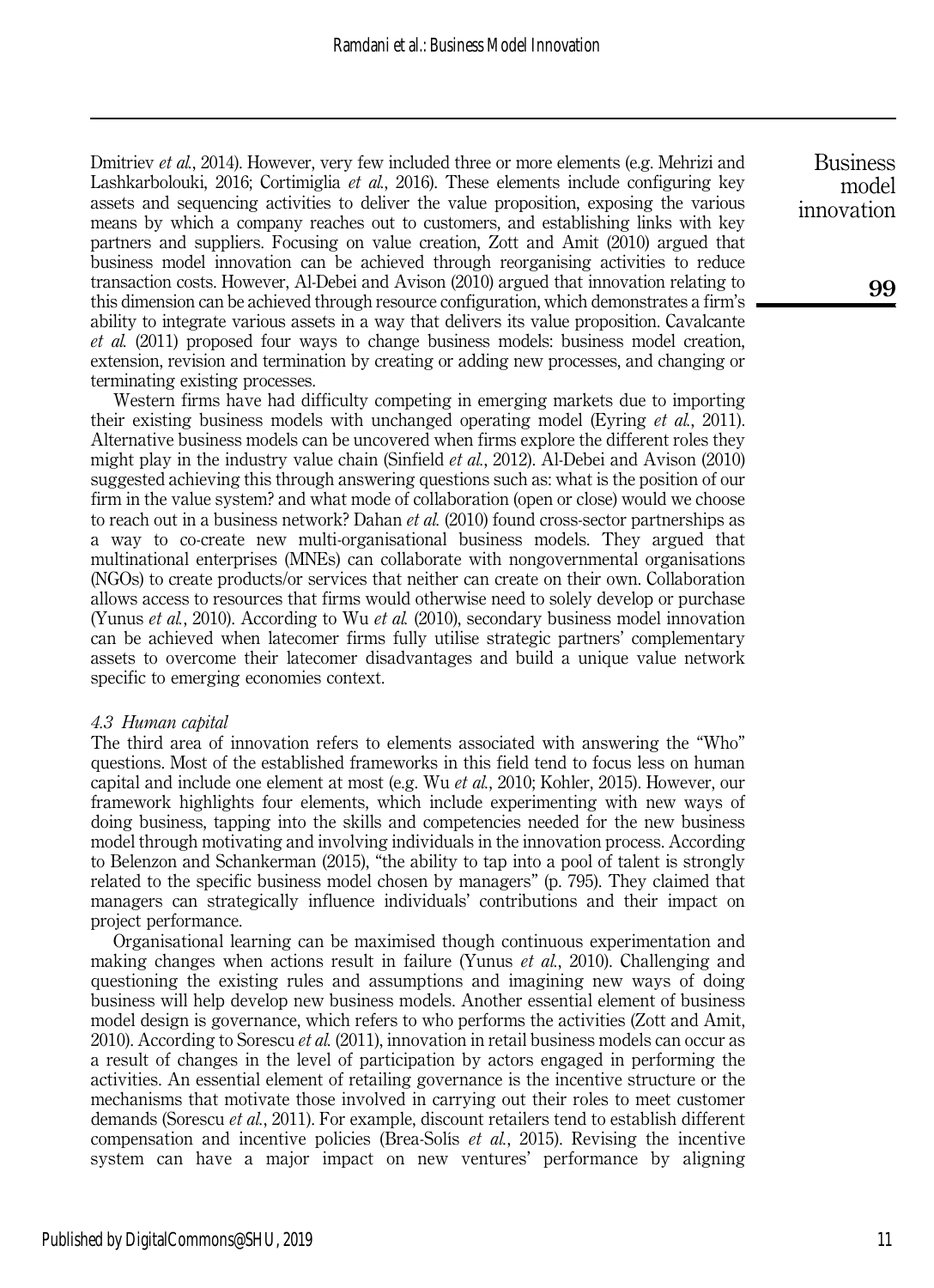Dmitriev et al., 2014). However, very few included three or more elements (e.g. Mehrizi and Lashkarbolouki, 2016; Cortimiglia *et al.*, 2016). These elements include configuring key assets and sequencing activities to deliver the value proposition, exposing the various means by which a company reaches out to customers, and establishing links with key partners and suppliers. Focusing on value creation, Zott and Amit (2010) argued that business model innovation can be achieved through reorganising activities to reduce transaction costs. However, Al-Debei and Avison (2010) argued that innovation relating to this dimension can be achieved through resource configuration, which demonstrates a firm's ability to integrate various assets in a way that delivers its value proposition. Cavalcante et al. (2011) proposed four ways to change business models: business model creation, extension, revision and termination by creating or adding new processes, and changing or terminating existing processes.

Western firms have had difficulty competing in emerging markets due to importing their existing business models with unchanged operating model (Eyring *et al.*, 2011). Alternative business models can be uncovered when firms explore the different roles they might play in the industry value chain (Sinfield *et al.*, 2012). Al-Debei and Avison (2010) suggested achieving this through answering questions such as: what is the position of our firm in the value system? and what mode of collaboration (open or close) would we choose to reach out in a business network? Dahan *et al.* (2010) found cross-sector partnerships as a way to co-create new multi-organisational business models. They argued that multinational enterprises (MNEs) can collaborate with nongovernmental organisations (NGOs) to create products/or services that neither can create on their own. Collaboration allows access to resources that firms would otherwise need to solely develop or purchase (Yunus *et al.*, 2010). According to Wu *et al.* (2010), secondary business model innovation can be achieved when latecomer firms fully utilise strategic partners' complementary assets to overcome their latecomer disadvantages and build a unique value network specific to emerging economies context.

#### 4.3 Human capital

The third area of innovation refers to elements associated with answering the "Who" questions. Most of the established frameworks in this field tend to focus less on human capital and include one element at most (e.g. Wu *et al.*, 2010; Kohler, 2015). However, our framework highlights four elements, which include experimenting with new ways of doing business, tapping into the skills and competencies needed for the new business model through motivating and involving individuals in the innovation process. According to Belenzon and Schankerman (2015), "the ability to tap into a pool of talent is strongly related to the specific business model chosen by managers" (p. 795). They claimed that managers can strategically influence individuals' contributions and their impact on project performance.

Organisational learning can be maximised though continuous experimentation and making changes when actions result in failure (Yunus *et al.*, 2010). Challenging and questioning the existing rules and assumptions and imagining new ways of doing business will help develop new business models. Another essential element of business model design is governance, which refers to who performs the activities (Zott and Amit, 2010). According to Sorescu et al. (2011), innovation in retail business models can occur as a result of changes in the level of participation by actors engaged in performing the activities. An essential element of retailing governance is the incentive structure or the mechanisms that motivate those involved in carrying out their roles to meet customer demands (Sorescu et al., 2011). For example, discount retailers tend to establish different compensation and incentive policies (Brea-Solís *et al.*, 2015). Revising the incentive system can have a major impact on new ventures' performance by aligning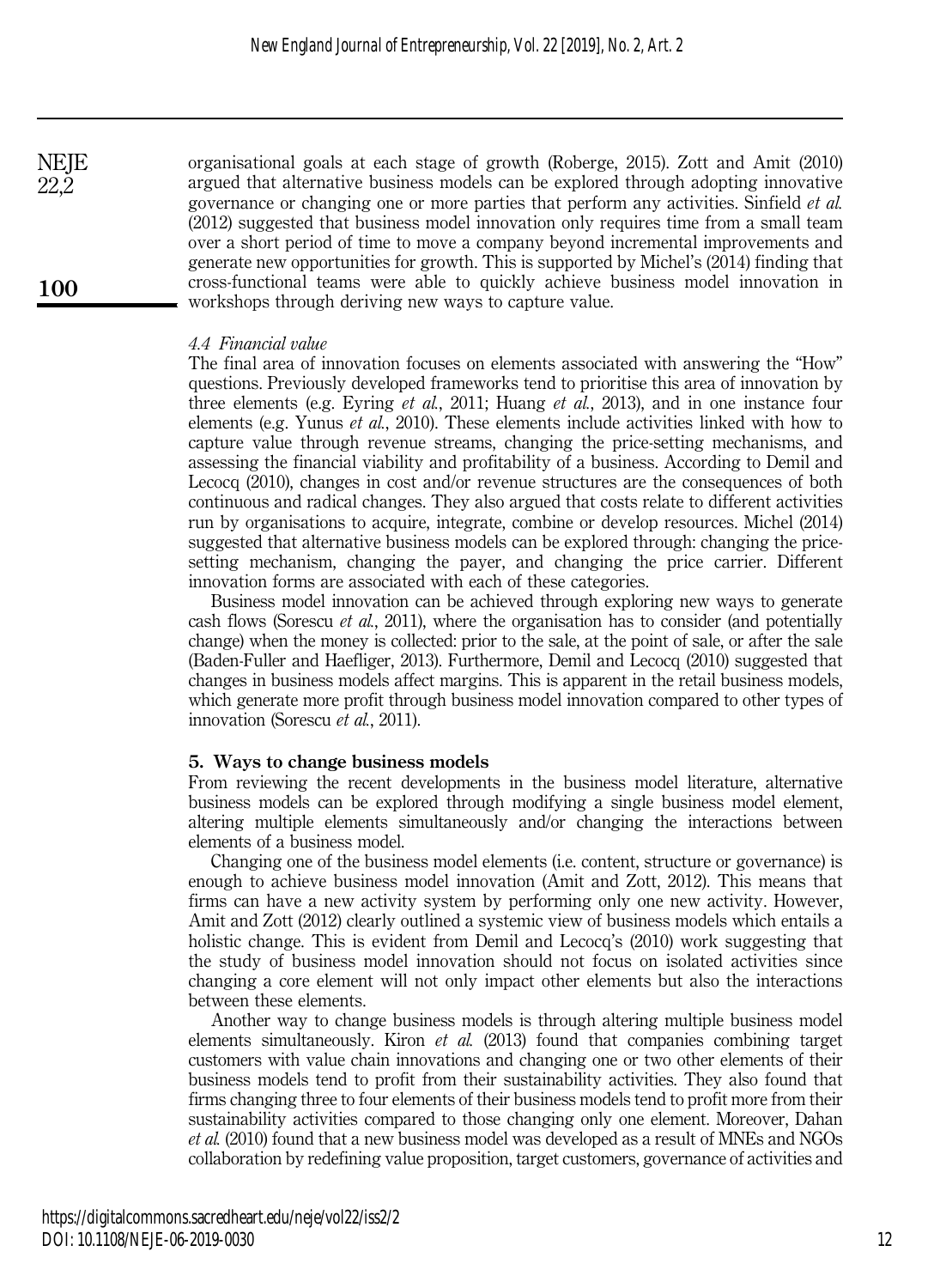organisational goals at each stage of growth (Roberge, 2015). Zott and Amit (2010) argued that alternative business models can be explored through adopting innovative governance or changing one or more parties that perform any activities. Sinfield et al. (2012) suggested that business model innovation only requires time from a small team over a short period of time to move a company beyond incremental improvements and generate new opportunities for growth. This is supported by Michel's (2014) finding that cross-functional teams were able to quickly achieve business model innovation in workshops through deriving new ways to capture value.

#### 4.4 Financial value

100

**NEJE** 22,2

> The final area of innovation focuses on elements associated with answering the "How" questions. Previously developed frameworks tend to prioritise this area of innovation by three elements (e.g. Eyring et al., 2011; Huang et al., 2013), and in one instance four elements (e.g. Yunus et al., 2010). These elements include activities linked with how to capture value through revenue streams, changing the price-setting mechanisms, and assessing the financial viability and profitability of a business. According to Demil and Lecocq (2010), changes in cost and/or revenue structures are the consequences of both continuous and radical changes. They also argued that costs relate to different activities run by organisations to acquire, integrate, combine or develop resources. Michel (2014) suggested that alternative business models can be explored through: changing the pricesetting mechanism, changing the payer, and changing the price carrier. Different innovation forms are associated with each of these categories.

> Business model innovation can be achieved through exploring new ways to generate cash flows (Sorescu *et al.*, 2011), where the organisation has to consider (and potentially change) when the money is collected: prior to the sale, at the point of sale, or after the sale (Baden-Fuller and Haefliger, 2013). Furthermore, Demil and Lecocq (2010) suggested that changes in business models affect margins. This is apparent in the retail business models, which generate more profit through business model innovation compared to other types of innovation (Sorescu et al., 2011).

#### 5. Ways to change business models

From reviewing the recent developments in the business model literature, alternative business models can be explored through modifying a single business model element, altering multiple elements simultaneously and/or changing the interactions between elements of a business model.

Changing one of the business model elements (i.e. content, structure or governance) is enough to achieve business model innovation (Amit and Zott, 2012). This means that firms can have a new activity system by performing only one new activity. However, Amit and Zott (2012) clearly outlined a systemic view of business models which entails a holistic change. This is evident from Demil and Lecocq's (2010) work suggesting that the study of business model innovation should not focus on isolated activities since changing a core element will not only impact other elements but also the interactions between these elements.

Another way to change business models is through altering multiple business model elements simultaneously. Kiron et al. (2013) found that companies combining target customers with value chain innovations and changing one or two other elements of their business models tend to profit from their sustainability activities. They also found that firms changing three to four elements of their business models tend to profit more from their sustainability activities compared to those changing only one element. Moreover, Dahan et al. (2010) found that a new business model was developed as a result of MNEs and NGOs collaboration by redefining value proposition, target customers, governance of activities and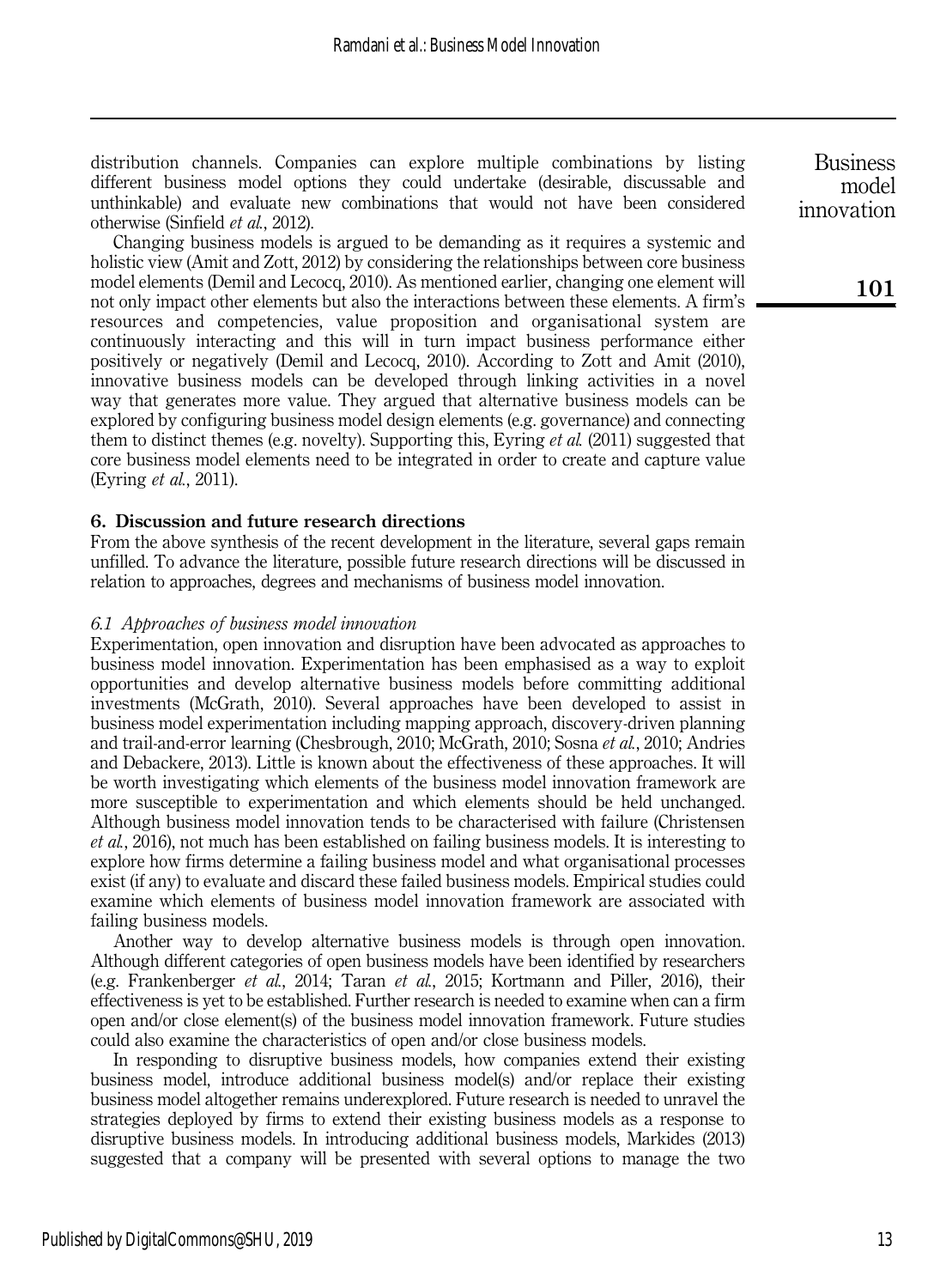distribution channels. Companies can explore multiple combinations by listing different business model options they could undertake (desirable, discussable and unthinkable) and evaluate new combinations that would not have been considered otherwise (Sinfield et al., 2012).

Changing business models is argued to be demanding as it requires a systemic and holistic view (Amit and Zott, 2012) by considering the relationships between core business model elements (Demil and Lecocq, 2010). As mentioned earlier, changing one element will not only impact other elements but also the interactions between these elements. A firm's resources and competencies, value proposition and organisational system are continuously interacting and this will in turn impact business performance either positively or negatively (Demil and Lecocq, 2010). According to Zott and Amit (2010), innovative business models can be developed through linking activities in a novel way that generates more value. They argued that alternative business models can be explored by configuring business model design elements (e.g. governance) and connecting them to distinct themes (e.g. novelty). Supporting this, Eyring *et al.* (2011) suggested that core business model elements need to be integrated in order to create and capture value (Eyring et al., 2011).

#### 6. Discussion and future research directions

From the above synthesis of the recent development in the literature, several gaps remain unfilled. To advance the literature, possible future research directions will be discussed in relation to approaches, degrees and mechanisms of business model innovation.

#### 6.1 Approaches of business model innovation

Experimentation, open innovation and disruption have been advocated as approaches to business model innovation. Experimentation has been emphasised as a way to exploit opportunities and develop alternative business models before committing additional investments (McGrath, 2010). Several approaches have been developed to assist in business model experimentation including mapping approach, discovery-driven planning and trail-and-error learning (Chesbrough, 2010; McGrath, 2010; Sosna et al., 2010; Andries and Debackere, 2013). Little is known about the effectiveness of these approaches. It will be worth investigating which elements of the business model innovation framework are more susceptible to experimentation and which elements should be held unchanged. Although business model innovation tends to be characterised with failure (Christensen et al., 2016), not much has been established on failing business models. It is interesting to explore how firms determine a failing business model and what organisational processes exist (if any) to evaluate and discard these failed business models. Empirical studies could examine which elements of business model innovation framework are associated with failing business models.

Another way to develop alternative business models is through open innovation. Although different categories of open business models have been identified by researchers (e.g. Frankenberger et al., 2014; Taran et al., 2015; Kortmann and Piller, 2016), their effectiveness is yet to be established. Further research is needed to examine when can a firm open and/or close element(s) of the business model innovation framework. Future studies could also examine the characteristics of open and/or close business models.

In responding to disruptive business models, how companies extend their existing business model, introduce additional business model(s) and/or replace their existing business model altogether remains underexplored. Future research is needed to unravel the strategies deployed by firms to extend their existing business models as a response to disruptive business models. In introducing additional business models, Markides (2013) suggested that a company will be presented with several options to manage the two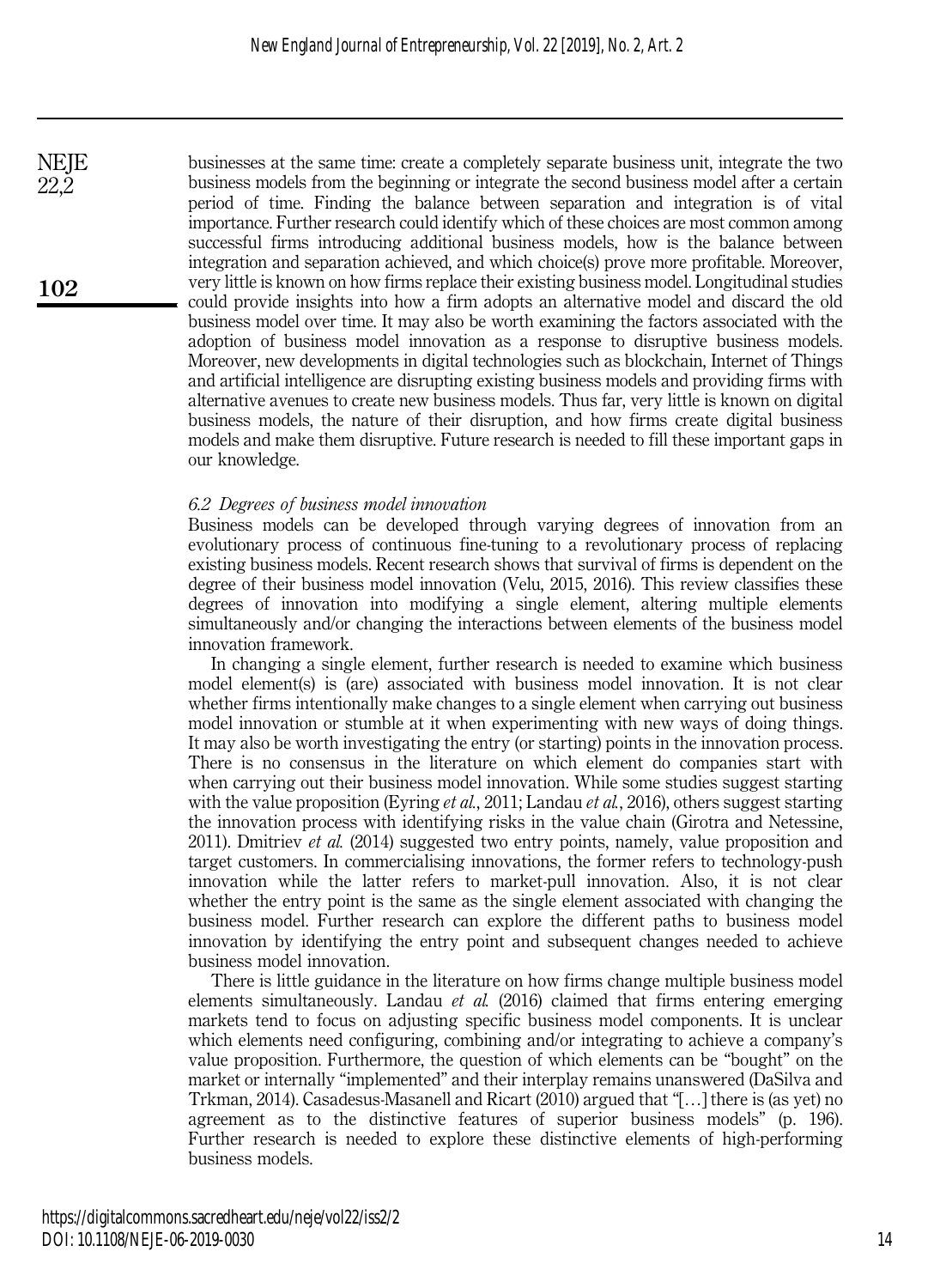businesses at the same time: create a completely separate business unit, integrate the two business models from the beginning or integrate the second business model after a certain period of time. Finding the balance between separation and integration is of vital importance. Further research could identify which of these choices are most common among successful firms introducing additional business models, how is the balance between integration and separation achieved, and which choice(s) prove more profitable. Moreover, very little is known on how firms replace their existing business model. Longitudinal studies could provide insights into how a firm adopts an alternative model and discard the old business model over time. It may also be worth examining the factors associated with the adoption of business model innovation as a response to disruptive business models. Moreover, new developments in digital technologies such as blockchain, Internet of Things and artificial intelligence are disrupting existing business models and providing firms with alternative avenues to create new business models. Thus far, very little is known on digital business models, the nature of their disruption, and how firms create digital business models and make them disruptive. Future research is needed to fill these important gaps in our knowledge.

#### 6.2 Degrees of business model innovation

Business models can be developed through varying degrees of innovation from an evolutionary process of continuous fine-tuning to a revolutionary process of replacing existing business models. Recent research shows that survival of firms is dependent on the degree of their business model innovation (Velu, 2015, 2016). This review classifies these degrees of innovation into modifying a single element, altering multiple elements simultaneously and/or changing the interactions between elements of the business model innovation framework.

In changing a single element, further research is needed to examine which business model element(s) is (are) associated with business model innovation. It is not clear whether firms intentionally make changes to a single element when carrying out business model innovation or stumble at it when experimenting with new ways of doing things. It may also be worth investigating the entry (or starting) points in the innovation process. There is no consensus in the literature on which element do companies start with when carrying out their business model innovation. While some studies suggest starting with the value proposition (Eyring *et al.*, 2011; Landau *et al.*, 2016), others suggest starting the innovation process with identifying risks in the value chain (Girotra and Netessine, 2011). Dmitriev et al. (2014) suggested two entry points, namely, value proposition and target customers. In commercialising innovations, the former refers to technology-push innovation while the latter refers to market-pull innovation. Also, it is not clear whether the entry point is the same as the single element associated with changing the business model. Further research can explore the different paths to business model innovation by identifying the entry point and subsequent changes needed to achieve business model innovation.

There is little guidance in the literature on how firms change multiple business model elements simultaneously. Landau  $et$   $al$ . (2016) claimed that firms entering emerging markets tend to focus on adjusting specific business model components. It is unclear which elements need configuring, combining and/or integrating to achieve a company's value proposition. Furthermore, the question of which elements can be "bought" on the market or internally "implemented" and their interplay remains unanswered (DaSilva and Trkman, 2014). Casadesus-Masanell and Ricart (2010) argued that "[…] there is (as yet) no agreement as to the distinctive features of superior business models" (p. 196). Further research is needed to explore these distinctive elements of high-performing business models.

**NEJE** 22,2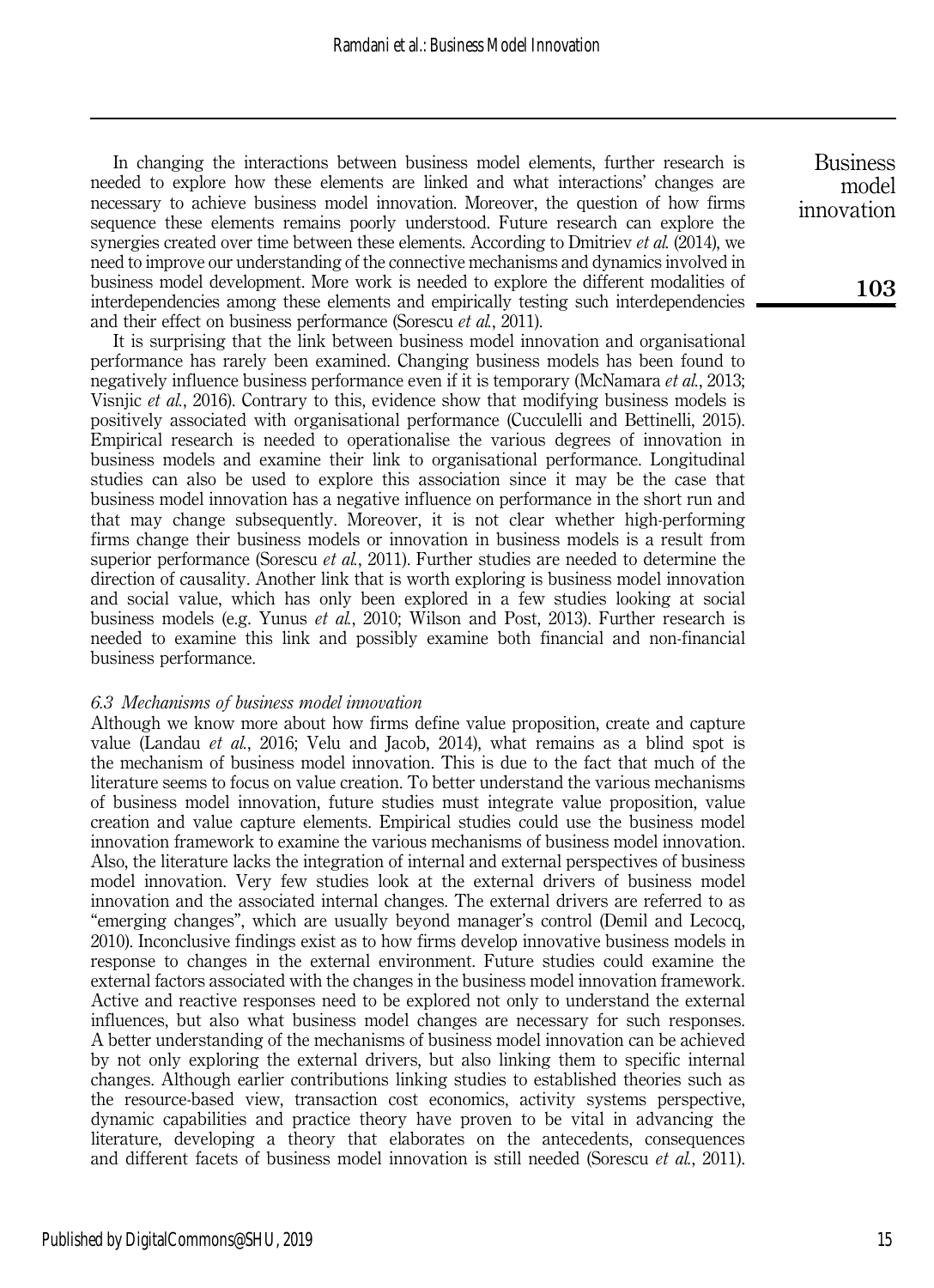In changing the interactions between business model elements, further research is needed to explore how these elements are linked and what interactions' changes are necessary to achieve business model innovation. Moreover, the question of how firms sequence these elements remains poorly understood. Future research can explore the synergies created over time between these elements. According to Dmitriev *et al.* (2014), we need to improve our understanding of the connective mechanisms and dynamics involved in business model development. More work is needed to explore the different modalities of interdependencies among these elements and empirically testing such interdependencies and their effect on business performance (Sorescu *et al.*, 2011).

It is surprising that the link between business model innovation and organisational performance has rarely been examined. Changing business models has been found to negatively influence business performance even if it is temporary (McNamara *et al.*, 2013; Visnjic et al., 2016). Contrary to this, evidence show that modifying business models is positively associated with organisational performance (Cucculelli and Bettinelli, 2015). Empirical research is needed to operationalise the various degrees of innovation in business models and examine their link to organisational performance. Longitudinal studies can also be used to explore this association since it may be the case that business model innovation has a negative influence on performance in the short run and that may change subsequently. Moreover, it is not clear whether high-performing firms change their business models or innovation in business models is a result from superior performance (Sorescu et al., 2011). Further studies are needed to determine the direction of causality. Another link that is worth exploring is business model innovation and social value, which has only been explored in a few studies looking at social business models (e.g. Yunus et al., 2010; Wilson and Post, 2013). Further research is needed to examine this link and possibly examine both financial and non-financial business performance.

#### 6.3 Mechanisms of business model innovation

Although we know more about how firms define value proposition, create and capture value (Landau et al., 2016; Velu and Jacob, 2014), what remains as a blind spot is the mechanism of business model innovation. This is due to the fact that much of the literature seems to focus on value creation. To better understand the various mechanisms of business model innovation, future studies must integrate value proposition, value creation and value capture elements. Empirical studies could use the business model innovation framework to examine the various mechanisms of business model innovation. Also, the literature lacks the integration of internal and external perspectives of business model innovation. Very few studies look at the external drivers of business model innovation and the associated internal changes. The external drivers are referred to as "emerging changes", which are usually beyond manager's control (Demil and Lecocq, 2010). Inconclusive findings exist as to how firms develop innovative business models in response to changes in the external environment. Future studies could examine the external factors associated with the changes in the business model innovation framework. Active and reactive responses need to be explored not only to understand the external influences, but also what business model changes are necessary for such responses. A better understanding of the mechanisms of business model innovation can be achieved by not only exploring the external drivers, but also linking them to specific internal changes. Although earlier contributions linking studies to established theories such as the resource-based view, transaction cost economics, activity systems perspective, dynamic capabilities and practice theory have proven to be vital in advancing the literature, developing a theory that elaborates on the antecedents, consequences and different facets of business model innovation is still needed (Sorescu *et al.*, 2011).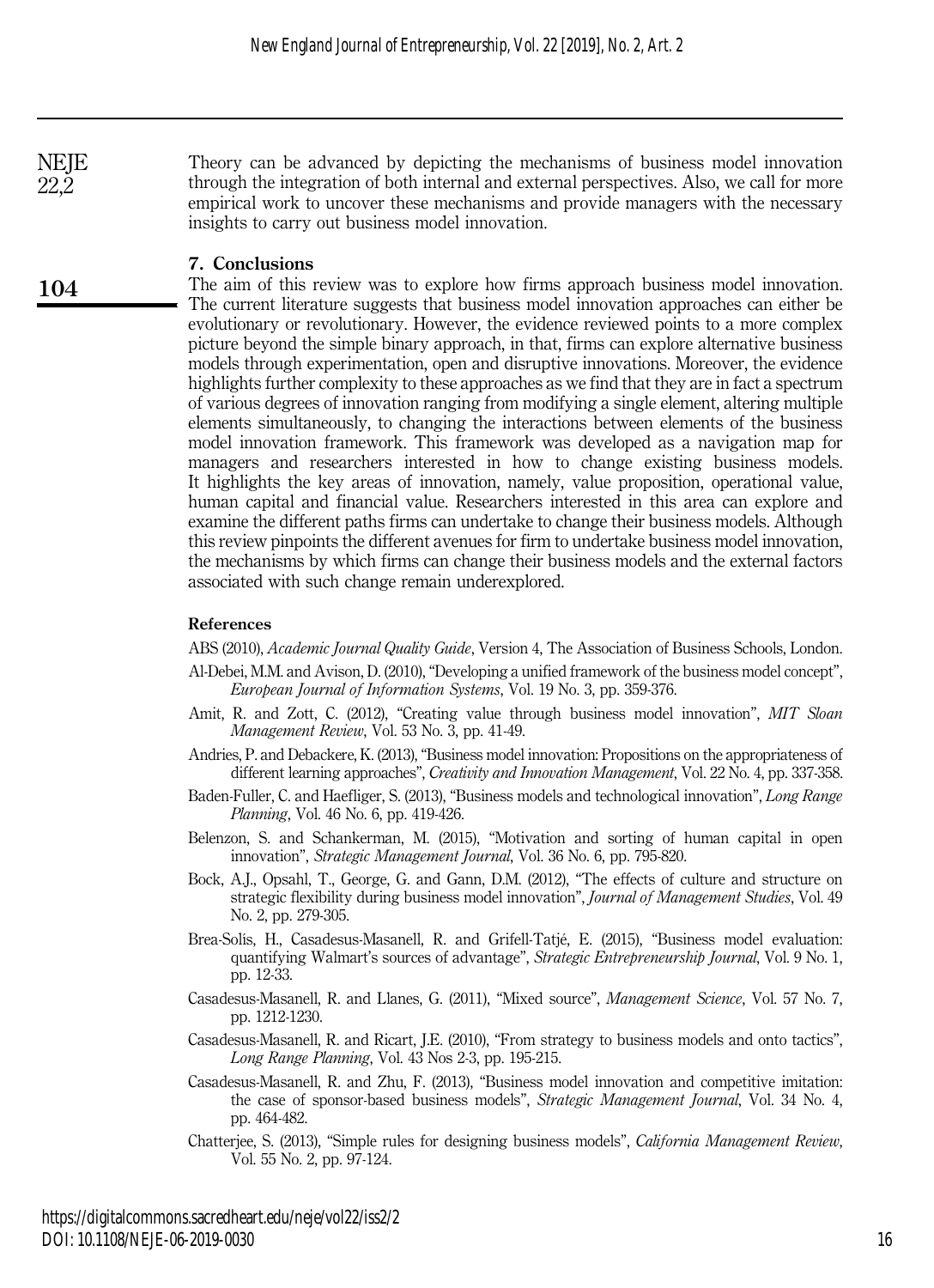Theory can be advanced by depicting the mechanisms of business model innovation through the integration of both internal and external perspectives. Also, we call for more empirical work to uncover these mechanisms and provide managers with the necessary insights to carry out business model innovation.

### 7. Conclusions

104

**NEJE** 22,2

> The aim of this review was to explore how firms approach business model innovation. The current literature suggests that business model innovation approaches can either be evolutionary or revolutionary. However, the evidence reviewed points to a more complex picture beyond the simple binary approach, in that, firms can explore alternative business models through experimentation, open and disruptive innovations. Moreover, the evidence highlights further complexity to these approaches as we find that they are in fact a spectrum of various degrees of innovation ranging from modifying a single element, altering multiple elements simultaneously, to changing the interactions between elements of the business model innovation framework. This framework was developed as a navigation map for managers and researchers interested in how to change existing business models. It highlights the key areas of innovation, namely, value proposition, operational value, human capital and financial value. Researchers interested in this area can explore and examine the different paths firms can undertake to change their business models. Although this review pinpoints the different avenues for firm to undertake business model innovation, the mechanisms by which firms can change their business models and the external factors associated with such change remain underexplored.

#### References

ABS (2010), Academic Journal Quality Guide, Version 4, The Association of Business Schools, London.

- Al-Debei, M.M. and Avison, D. (2010), "Developing a unified framework of the business model concept", European Journal of Information Systems, Vol. 19 No. 3, pp. 359-376.
- Amit, R. and Zott, C. (2012), "Creating value through business model innovation", MIT Sloan Management Review, Vol. 53 No. 3, pp. 41-49.
- Andries, P. and Debackere, K. (2013), "Business model innovation: Propositions on the appropriateness of different learning approaches", *Creativity and Innovation Management*, Vol. 22 No. 4, pp. 337-358.
- Baden-Fuller, C. and Haefliger, S. (2013), "Business models and technological innovation", Long Range Planning, Vol. 46 No. 6, pp. 419-426.
- Belenzon, S. and Schankerman, M. (2015), "Motivation and sorting of human capital in open innovation", Strategic Management Journal, Vol. 36 No. 6, pp. 795-820.
- Bock, A.J., Opsahl, T., George, G. and Gann, D.M. (2012), "The effects of culture and structure on strategic flexibility during business model innovation", Journal of Management Studies, Vol. 49 No. 2, pp. 279-305.
- Brea-Solís, H., Casadesus-Masanell, R. and Grifell-Tatjé, E. (2015), "Business model evaluation: quantifying Walmart's sources of advantage", Strategic Entrepreneurship Journal, Vol. 9 No. 1, pp. 12-33.
- Casadesus-Masanell, R. and Llanes, G. (2011), "Mixed source", Management Science, Vol. 57 No. 7, pp. 1212-1230.
- Casadesus-Masanell, R. and Ricart, J.E. (2010), "From strategy to business models and onto tactics", Long Range Planning, Vol. 43 Nos 2-3, pp. 195-215.
- Casadesus-Masanell, R. and Zhu, F. (2013), "Business model innovation and competitive imitation: the case of sponsor-based business models", Strategic Management Journal, Vol. 34 No. 4, pp. 464-482.
- Chatterjee, S. (2013), "Simple rules for designing business models", California Management Review, Vol. 55 No. 2, pp. 97-124.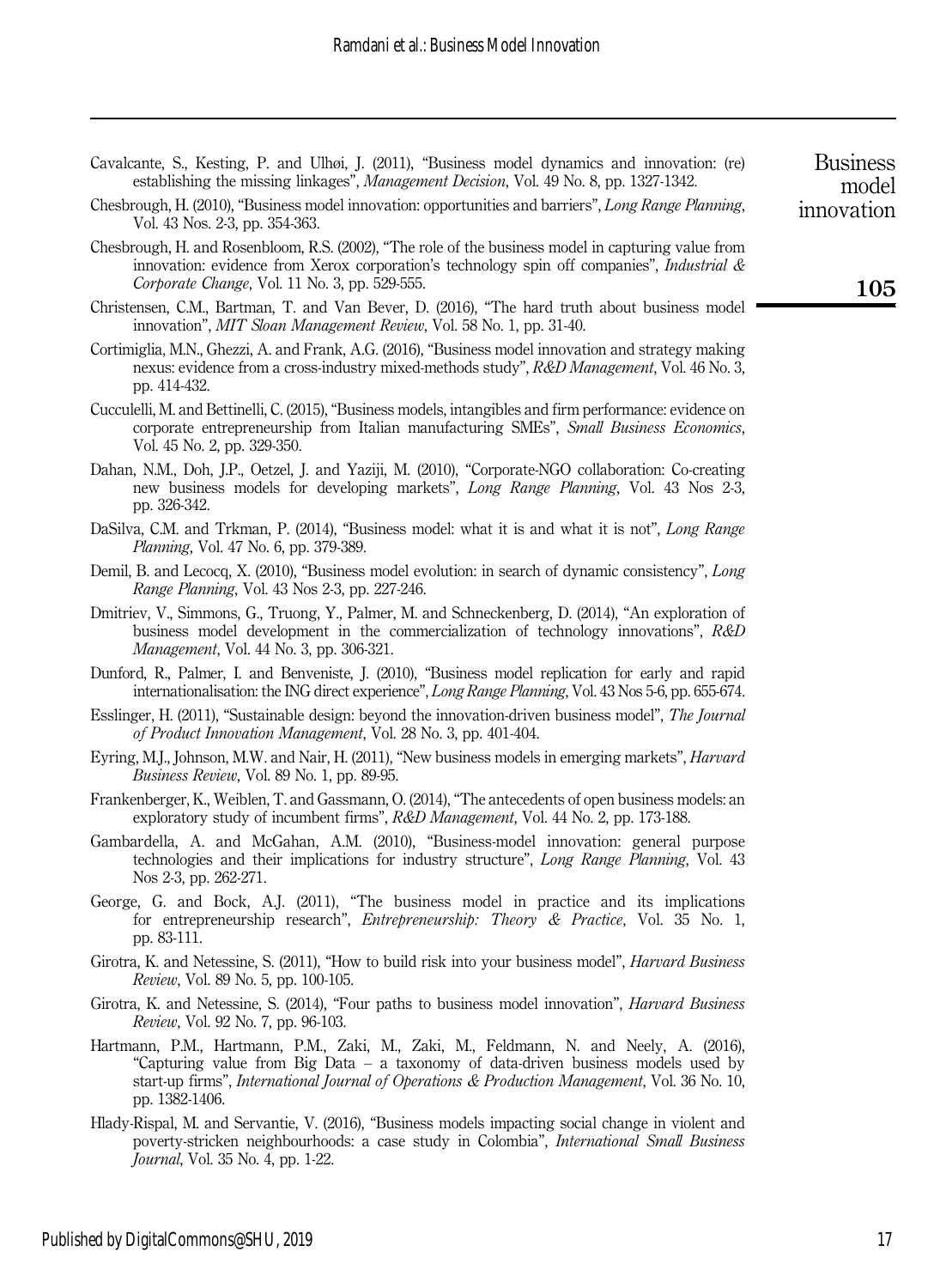| Cavalcante, S., Kesting, P. and Ulhøi, J. (2011), "Business model dynamics and innovation: (re)<br>establishing the missing linkages", <i>Management Decision</i> , Vol. 49 No. 8, pp. 1327-1342. | <b>Business</b><br>model |
|---------------------------------------------------------------------------------------------------------------------------------------------------------------------------------------------------|--------------------------|
| Chesbrough, H. (2010), "Business model innovation: opportunities and barriers", Long Range Planning,<br>Vol. 43 Nos. 2-3, pp. 354-363.                                                            | innovation               |
| Charlessed, Hard Dresselland, D.C. (9009). "The selected the hospital constitution of the continuum of the form                                                                                   |                          |

- Chesbrough, H. and Rosenbloom, R.S. (2002), "The role of the business model in capturing value from innovation: evidence from Xerox corporation's technology spin off companies", *Industrial &* Corporate Change, Vol. 11 No. 3, pp. 529-555.
- Christensen, C.M., Bartman, T. and Van Bever, D. (2016), "The hard truth about business model innovation", MIT Sloan Management Review, Vol. 58 No. 1, pp. 31-40.
- Cortimiglia, M.N., Ghezzi, A. and Frank, A.G. (2016), "Business model innovation and strategy making nexus: evidence from a cross-industry mixed-methods study", R&D Management, Vol. 46 No. 3, pp. 414-432.
- Cucculelli, M. and Bettinelli, C. (2015), "Business models, intangibles and firm performance: evidence on corporate entrepreneurship from Italian manufacturing SMEs", Small Business Economics, Vol. 45 No. 2, pp. 329-350.
- Dahan, N.M., Doh, J.P., Oetzel, J. and Yaziji, M. (2010), "Corporate-NGO collaboration: Co-creating new business models for developing markets", Long Range Planning, Vol. 43 Nos 2-3, pp. 326-342.
- DaSilva, C.M. and Trkman, P. (2014), "Business model: what it is and what it is not", Long Range Planning, Vol. 47 No. 6, pp. 379-389.
- Demil, B. and Lecocq, X. (2010), "Business model evolution: in search of dynamic consistency", Long Range Planning, Vol. 43 Nos 2-3, pp. 227-246.
- Dmitriev, V., Simmons, G., Truong, Y., Palmer, M. and Schneckenberg, D. (2014), "An exploration of business model development in the commercialization of technology innovations", R&D Management, Vol. 44 No. 3, pp. 306-321.
- Dunford, R., Palmer, I. and Benveniste, J. (2010), "Business model replication for early and rapid internationalisation: the ING direct experience", Long Range Planning, Vol. 43 Nos 5-6, pp. 655-674.
- Esslinger, H. (2011), "Sustainable design: beyond the innovation-driven business model", The Journal of Product Innovation Management, Vol. 28 No. 3, pp. 401-404.
- Eyring, M.J., Johnson, M.W. and Nair, H. (2011), "New business models in emerging markets", Harvard Business Review, Vol. 89 No. 1, pp. 89-95.
- Frankenberger, K., Weiblen, T. and Gassmann, O. (2014), "The antecedents of open business models: an exploratory study of incumbent firms", R&D Management, Vol. 44 No. 2, pp. 173-188.
- Gambardella, A. and McGahan, A.M. (2010), "Business-model innovation: general purpose technologies and their implications for industry structure", Long Range Planning, Vol. 43 Nos 2-3, pp. 262-271.
- George, G. and Bock, A.J. (2011), "The business model in practice and its implications for entrepreneurship research", Entrepreneurship: Theory & Practice, Vol. 35 No. 1, pp. 83-111.
- Girotra, K. and Netessine, S. (2011), "How to build risk into your business model", *Harvard Business* Review, Vol. 89 No. 5, pp. 100-105.
- Girotra, K. and Netessine, S. (2014), "Four paths to business model innovation", *Harvard Business* Review, Vol. 92 No. 7, pp. 96-103.
- Hartmann, P.M., Hartmann, P.M., Zaki, M., Zaki, M., Feldmann, N. and Neely, A. (2016), "Capturing value from Big Data – a taxonomy of data-driven business models used by start-up firms", *International Journal of Operations & Production Management*, Vol. 36 No. 10, pp. 1382-1406.
- Hlady-Rispal, M. and Servantie, V. (2016), "Business models impacting social change in violent and poverty-stricken neighbourhoods: a case study in Colombia", *International Small Business* Journal, Vol. 35 No. 4, pp. 1-22.

Published by DigitalCommons@SHU, 2019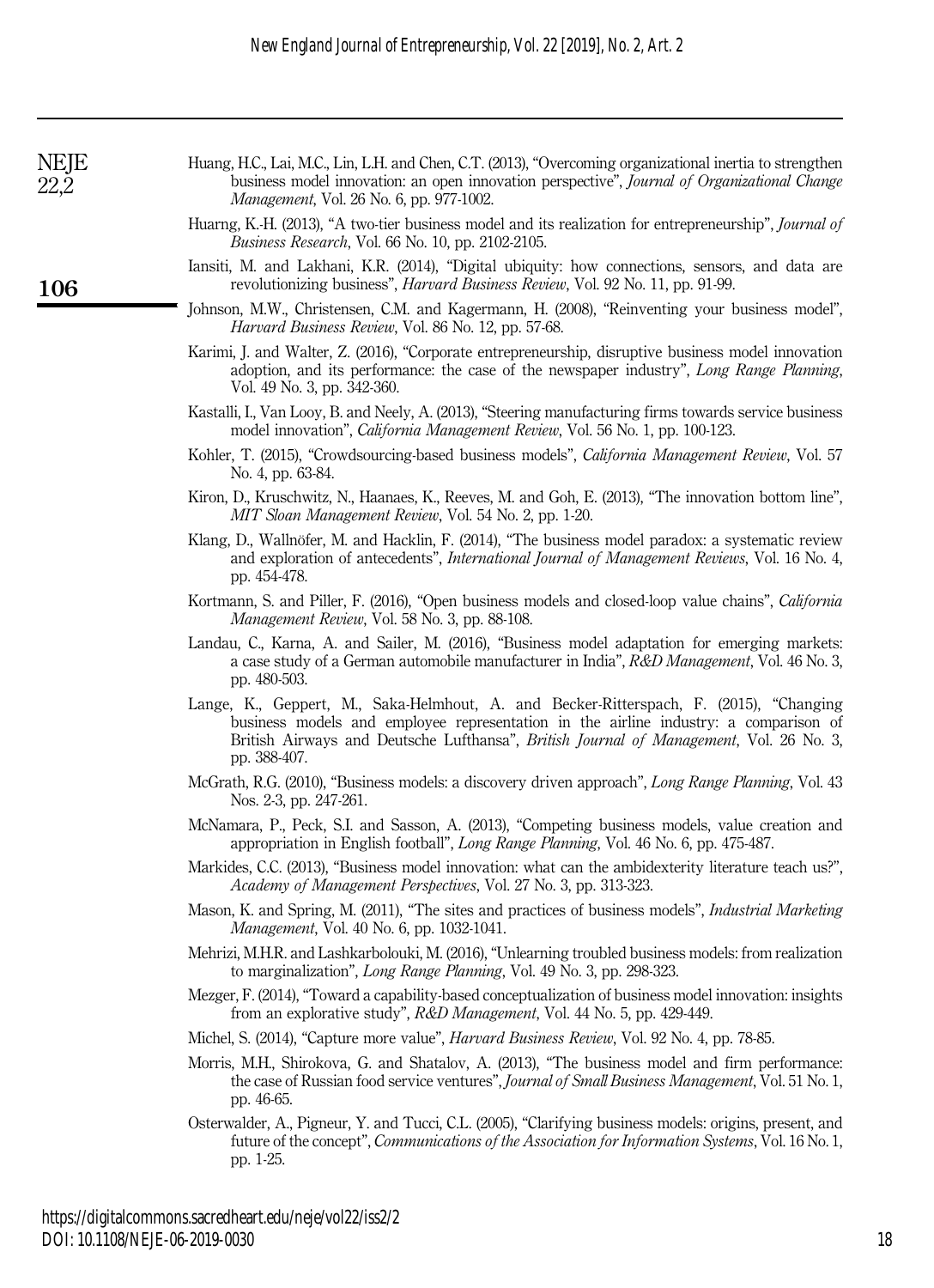Huang, H.C., Lai, M.C., Lin, L.H. and Chen, C.T. (2013), "Overcoming organizational inertia to strengthen business model innovation: an open innovation perspective", Journal of Organizational Change Management, Vol. 26 No. 6, pp. 977-1002. Huarng, K.-H. (2013), "A two-tier business model and its realization for entrepreneurship", *Journal of* **NEJE** 22,2

- Business Research, Vol. 66 No. 10, pp. 2102-2105. Iansiti, M. and Lakhani, K.R. (2014), "Digital ubiquity: how connections, sensors, and data are
- revolutionizing business", Harvard Business Review, Vol. 92 No. 11, pp. 91-99.
- Johnson, M.W., Christensen, C.M. and Kagermann, H. (2008), "Reinventing your business model", Harvard Business Review, Vol. 86 No. 12, pp. 57-68.
- Karimi, J. and Walter, Z. (2016), "Corporate entrepreneurship, disruptive business model innovation adoption, and its performance: the case of the newspaper industry", Long Range Planning, Vol. 49 No. 3, pp. 342-360.
- Kastalli, I., Van Looy, B. and Neely, A. (2013), "Steering manufacturing firms towards service business model innovation", California Management Review, Vol. 56 No. 1, pp. 100-123.
- Kohler, T. (2015), "Crowdsourcing-based business models", California Management Review, Vol. 57 No. 4, pp. 63-84.
- Kiron, D., Kruschwitz, N., Haanaes, K., Reeves, M. and Goh, E. (2013), "The innovation bottom line", MIT Sloan Management Review, Vol. 54 No. 2, pp. 1-20.
- Klang, D., Wallnöfer, M. and Hacklin, F. (2014), "The business model paradox: a systematic review and exploration of antecedents", International Journal of Management Reviews, Vol. 16 No. 4, pp. 454-478.
- Kortmann, S. and Piller, F. (2016), "Open business models and closed-loop value chains", California Management Review, Vol. 58 No. 3, pp. 88-108.
- Landau, C., Karna, A. and Sailer, M. (2016), "Business model adaptation for emerging markets: a case study of a German automobile manufacturer in India", R&D Management, Vol. 46 No. 3, pp. 480-503.
- Lange, K., Geppert, M., Saka-Helmhout, A. and Becker-Ritterspach, F. (2015), "Changing business models and employee representation in the airline industry: a comparison of British Airways and Deutsche Lufthansa", British Journal of Management, Vol. 26 No. 3, pp. 388-407.
- McGrath, R.G. (2010), "Business models: a discovery driven approach", Long Range Planning, Vol. 43 Nos. 2-3, pp. 247-261.
- McNamara, P., Peck, S.I. and Sasson, A. (2013), "Competing business models, value creation and appropriation in English football", Long Range Planning, Vol. 46 No. 6, pp. 475-487.
- Markides, C.C. (2013), "Business model innovation: what can the ambidexterity literature teach us?", Academy of Management Perspectives, Vol. 27 No. 3, pp. 313-323.
- Mason, K. and Spring, M. (2011), "The sites and practices of business models", *Industrial Marketing* Management, Vol. 40 No. 6, pp. 1032-1041.
- Mehrizi, M.H.R. and Lashkarbolouki, M. (2016), "Unlearning troubled business models: from realization to marginalization", Long Range Planning, Vol. 49 No. 3, pp. 298-323.
- Mezger, F. (2014), "Toward a capability-based conceptualization of business model innovation: insights from an explorative study", R&D Management, Vol. 44 No. 5, pp. 429-449.
- Michel, S. (2014), "Capture more value", Harvard Business Review, Vol. 92 No. 4, pp. 78-85.
- Morris, M.H., Shirokova, G. and Shatalov, A. (2013), "The business model and firm performance: the case of Russian food service ventures", Journal of Small Business Management, Vol. 51 No. 1, pp. 46-65.
- Osterwalder, A., Pigneur, Y. and Tucci, C.L. (2005), "Clarifying business models: origins, present, and future of the concept", Communications of the Association for Information Systems, Vol. 16 No. 1, pp. 1-25.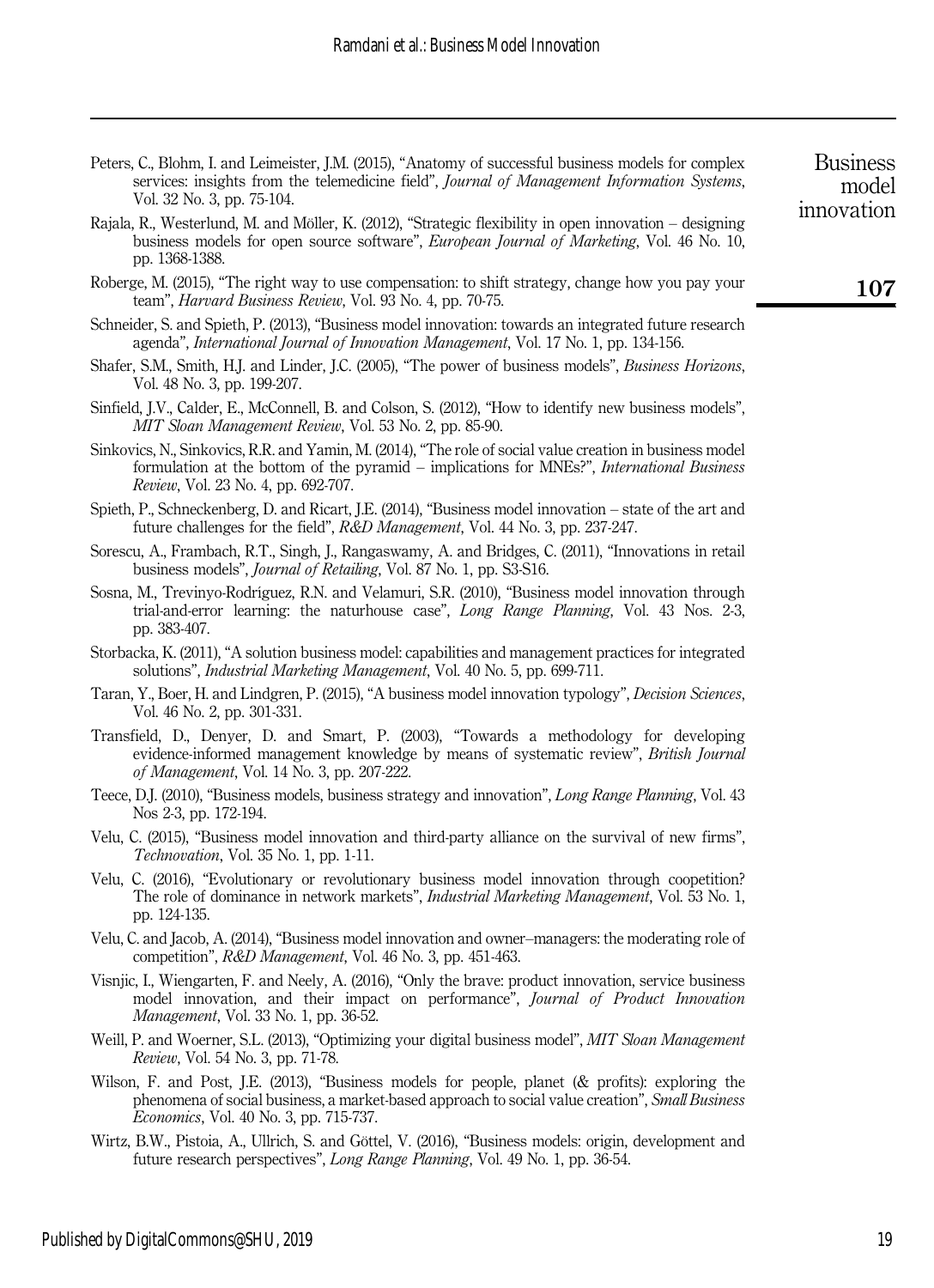| Peters, C., Blohm, I. and Leimeister, J.M. (2015), "Anatomy of successful business models for complex |  |
|-------------------------------------------------------------------------------------------------------|--|
| services: insights from the telemedicine field", <i>Journal of Management Information Systems</i> ,   |  |
| Vol. 32 No. 3, pp. 75-104.                                                                            |  |
|                                                                                                       |  |

- Rajala, R., Westerlund, M. and Möller, K. (2012), "Strategic flexibility in open innovation designing business models for open source software", European Journal of Marketing, Vol. 46 No. 10, pp. 1368-1388.
- Roberge, M. (2015), "The right way to use compensation: to shift strategy, change how you pay your team", *Harvard Business Review*, Vol. 93 No. 4, pp. 70-75.
- Schneider, S. and Spieth, P. (2013), "Business model innovation: towards an integrated future research agenda", International Journal of Innovation Management, Vol. 17 No. 1, pp. 134-156.
- Shafer, S.M., Smith, H.J. and Linder, J.C. (2005), "The power of business models", *Business Horizons*, Vol. 48 No. 3, pp. 199-207.
- Sinfield, J.V., Calder, E., McConnell, B. and Colson, S. (2012), "How to identify new business models", MIT Sloan Management Review, Vol. 53 No. 2, pp. 85-90.
- Sinkovics, N., Sinkovics, R.R. and Yamin, M. (2014), "The role of social value creation in business model formulation at the bottom of the pyramid – implications for MNEs?", *International Business* Review, Vol. 23 No. 4, pp. 692-707.
- Spieth, P., Schneckenberg, D. and Ricart, J.E. (2014), "Business model innovation state of the art and future challenges for the field", R&D Management, Vol. 44 No. 3, pp. 237-247.
- Sorescu, A., Frambach, R.T., Singh, J., Rangaswamy, A. and Bridges, C. (2011), "Innovations in retail business models", Journal of Retailing, Vol. 87 No. 1, pp. S3-S16.
- Sosna, M., Trevinyo-Rodríguez, R.N. and Velamuri, S.R. (2010), "Business model innovation through trial-and-error learning: the naturhouse case", Long Range Planning, Vol. 43 Nos. 2-3, pp. 383-407.
- Storbacka, K. (2011), "A solution business model: capabilities and management practices for integrated solutions", Industrial Marketing Management, Vol. 40 No. 5, pp. 699-711.
- Taran, Y., Boer, H. and Lindgren, P. (2015), "A business model innovation typology", *Decision Sciences*, Vol. 46 No. 2, pp. 301-331.
- Transfield, D., Denyer, D. and Smart, P. (2003), "Towards a methodology for developing evidence-informed management knowledge by means of systematic review", British Journal of Management, Vol. 14 No. 3, pp. 207-222.
- Teece, D.J. (2010), "Business models, business strategy and innovation", Long Range Planning, Vol. 43 Nos 2-3, pp. 172-194.
- Velu, C. (2015), "Business model innovation and third-party alliance on the survival of new firms", Technovation, Vol. 35 No. 1, pp. 1-11.
- Velu, C. (2016), "Evolutionary or revolutionary business model innovation through coopetition? The role of dominance in network markets", *Industrial Marketing Management*, Vol. 53 No. 1, pp. 124-135.
- Velu, C. and Jacob, A. (2014), "Business model innovation and owner–managers: the moderating role of competition", R&D Management, Vol. 46 No. 3, pp. 451-463.
- Visnjic, I., Wiengarten, F. and Neely, A. (2016), "Only the brave: product innovation, service business model innovation, and their impact on performance", Journal of Product Innovation Management, Vol. 33 No. 1, pp. 36-52.
- Weill, P. and Woerner, S.L. (2013), "Optimizing your digital business model", MIT Sloan Management Review, Vol. 54 No. 3, pp. 71-78.
- Wilson, F. and Post, J.E. (2013), "Business models for people, planet (& profits): exploring the phenomena of social business, a market-based approach to social value creation", Small Business Economics, Vol. 40 No. 3, pp. 715-737.
- Wirtz, B.W., Pistoia, A., Ullrich, S. and Göttel, V. (2016), "Business models: origin, development and future research perspectives", Long Range Planning, Vol. 49 No. 1, pp. 36-54.